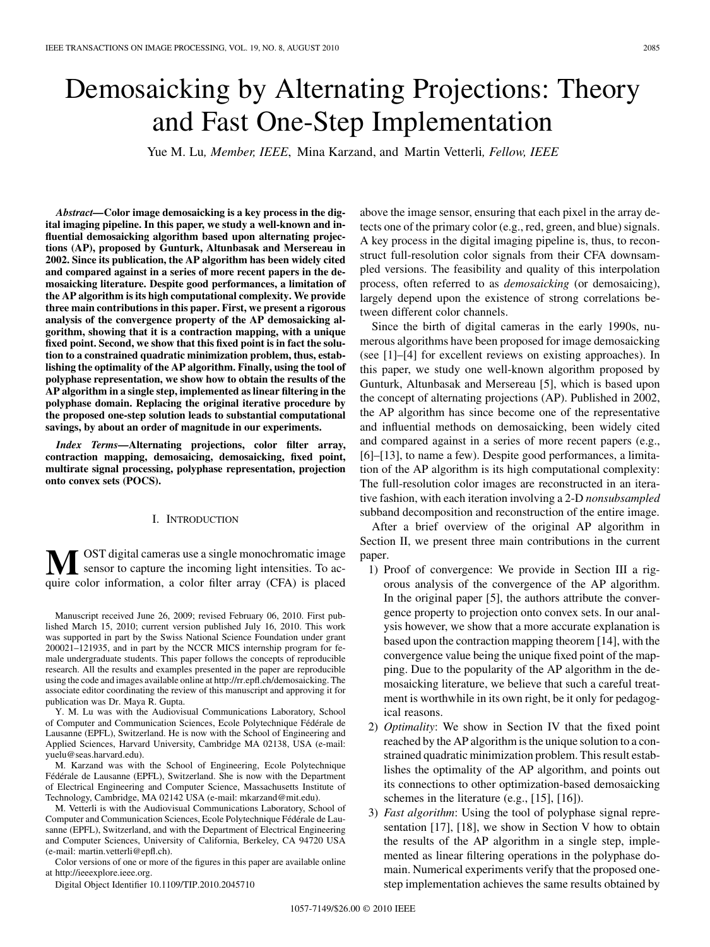# Demosaicking by Alternating Projections: Theory and Fast One-Step Implementation

Yue M. Lu*, Member, IEEE*, Mina Karzand, and Martin Vetterli*, Fellow, IEEE*

*Abstract—***Color image demosaicking is a key process in the digital imaging pipeline. In this paper, we study a well-known and influential demosaicking algorithm based upon alternating projections (AP), proposed by Gunturk, Altunbasak and Mersereau in 2002. Since its publication, the AP algorithm has been widely cited and compared against in a series of more recent papers in the demosaicking literature. Despite good performances, a limitation of the AP algorithm is its high computational complexity. We provide three main contributions in this paper. First, we present a rigorous analysis of the convergence property of the AP demosaicking algorithm, showing that it is a contraction mapping, with a unique fixed point. Second, we show that this fixed point is in fact the solution to a constrained quadratic minimization problem, thus, establishing the optimality of the AP algorithm. Finally, using the tool of polyphase representation, we show how to obtain the results of the AP algorithm in a single step, implemented as linear filtering in the polyphase domain. Replacing the original iterative procedure by the proposed one-step solution leads to substantial computational savings, by about an order of magnitude in our experiments.**

*Index Terms—***Alternating projections, color filter array, contraction mapping, demosaicing, demosaicking, fixed point, multirate signal processing, polyphase representation, projection onto convex sets (POCS).**

### I. INTRODUCTION

**MOST** digital cameras use a single monochromatic image sensor to capture the incoming light intensities. To acquire color information, a color filter array (CFA) is placed

Manuscript received June 26, 2009; revised February 06, 2010. First published March 15, 2010; current version published July 16, 2010. This work was supported in part by the Swiss National Science Foundation under grant 200021–121935, and in part by the NCCR MICS internship program for female undergraduate students. This paper follows the concepts of reproducible research. All the results and examples presented in the paper are reproducible using the code and images available online at http://rr.epfl.ch/demosaicking. The associate editor coordinating the review of this manuscript and approving it for publication was Dr. Maya R. Gupta.

Y. M. Lu was with the Audiovisual Communications Laboratory, School of Computer and Communication Sciences, Ecole Polytechnique Fédérale de Lausanne (EPFL), Switzerland. He is now with the School of Engineering and Applied Sciences, Harvard University, Cambridge MA 02138, USA (e-mail: yuelu@seas.harvard.edu).

M. Karzand was with the School of Engineering, Ecole Polytechnique Fédérale de Lausanne (EPFL), Switzerland. She is now with the Department of Electrical Engineering and Computer Science, Massachusetts Institute of Technology, Cambridge, MA 02142 USA (e-mail: mkarzand@mit.edu).

M. Vetterli is with the Audiovisual Communications Laboratory, School of Computer and Communication Sciences, Ecole Polytechnique Fédérale de Lausanne (EPFL), Switzerland, and with the Department of Electrical Engineering and Computer Sciences, University of California, Berkeley, CA 94720 USA (e-mail: martin.vetterli@epfl.ch).

Color versions of one or more of the figures in this paper are available online at http://ieeexplore.ieee.org.

Digital Object Identifier 10.1109/TIP.2010.2045710

above the image sensor, ensuring that each pixel in the array detects one of the primary color (e.g., red, green, and blue) signals. A key process in the digital imaging pipeline is, thus, to reconstruct full-resolution color signals from their CFA downsampled versions. The feasibility and quality of this interpolation process, often referred to as *demosaicking* (or demosaicing), largely depend upon the existence of strong correlations between different color channels.

Since the birth of digital cameras in the early 1990s, numerous algorithms have been proposed for image demosaicking (see [1]–[4] for excellent reviews on existing approaches). In this paper, we study one well-known algorithm proposed by Gunturk, Altunbasak and Mersereau [5], which is based upon the concept of alternating projections (AP). Published in 2002, the AP algorithm has since become one of the representative and influential methods on demosaicking, been widely cited and compared against in a series of more recent papers (e.g., [6]–[13], to name a few). Despite good performances, a limitation of the AP algorithm is its high computational complexity: The full-resolution color images are reconstructed in an iterative fashion, with each iteration involving a 2-D *nonsubsampled* subband decomposition and reconstruction of the entire image.

After a brief overview of the original AP algorithm in Section II, we present three main contributions in the current paper.

- 1) Proof of convergence: We provide in Section III a rigorous analysis of the convergence of the AP algorithm. In the original paper [5], the authors attribute the convergence property to projection onto convex sets. In our analysis however, we show that a more accurate explanation is based upon the contraction mapping theorem [14], with the convergence value being the unique fixed point of the mapping. Due to the popularity of the AP algorithm in the demosaicking literature, we believe that such a careful treatment is worthwhile in its own right, be it only for pedagogical reasons.
- 2) *Optimality*: We show in Section IV that the fixed point reached by the AP algorithm is the unique solution to a constrained quadratic minimization problem. This result establishes the optimality of the AP algorithm, and points out its connections to other optimization-based demosaicking schemes in the literature (e.g., [15], [16]).
- 3) *Fast algorithm*: Using the tool of polyphase signal representation [17], [18], we show in Section V how to obtain the results of the AP algorithm in a single step, implemented as linear filtering operations in the polyphase domain. Numerical experiments verify that the proposed onestep implementation achieves the same results obtained by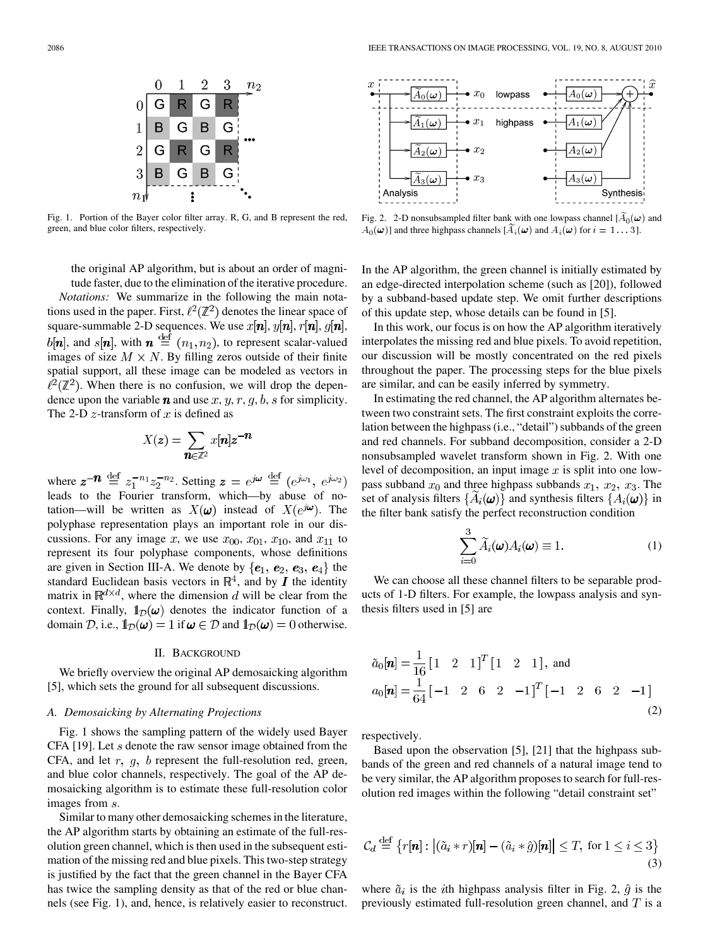

Fig. 1. Portion of the Bayer color filter array. R, G, and B represent the red, green, and blue color filters, respectively.

the original AP algorithm, but is about an order of magnitude faster, due to the elimination of the iterative procedure.

*Notations:* We summarize in the following the main notations used in the paper. First,  $\ell^2(\mathbb{Z}^2)$  denotes the linear space of square-summable 2-D sequences. We use  $x[n], y[n], r[n], g[n],$  $b[n]$ , and  $s[n]$ , with  $n \stackrel{\text{def}}{=} (n_1, n_2)$ , to represent scalar-valued images of size  $M \times N$ . By filling zeros outside of their finite spatial support, all these image can be modeled as vectors in  $\ell^2(\mathbb{Z}^2)$ . When there is no confusion, we will drop the dependence upon the variable  $n$  and use  $x, y, r, g, b, s$  for simplicity. The 2-D  $z$ -transform of  $x$  is defined as

$$
X(\mathbf{z}) = \sum_{\mathbf{n} \in \mathbb{Z}^2} x[\mathbf{n}] \mathbf{z}^{-\mathbf{n}}
$$

where  $z^{-n} \stackrel{\text{def}}{=} z_1^{-n_1} z_2^{-n_2}$ . Setting  $z = e^{j\omega} \stackrel{\text{def}}{=} (e^{j\omega_1}, e^{j\omega_2})$ leads to the Fourier transform, which—by abuse of notation—will be written as  $X(\omega)$  instead of  $X(e^{j\omega})$ . The polyphase representation plays an important role in our discussions. For any image x, we use  $x_{00}$ ,  $x_{01}$ ,  $x_{10}$ , and  $x_{11}$  to represent its four polyphase components, whose definitions are given in Section III-A. We denote by  $\{e_1, e_2, e_3, e_4\}$  the standard Euclidean basis vectors in  $\mathbb{R}^4$ , and by  $I$  the identity matrix in  $\mathbb{R}^{d \times d}$ , where the dimension d will be clear from the context. Finally,  $\mathbb{1}_{\mathcal{D}}(\omega)$  denotes the indicator function of a domain D, i.e.,  $\mathbb{1}_{\mathcal{D}}(\omega) = 1$  if  $\omega \in \mathcal{D}$  and  $\mathbb{1}_{\mathcal{D}}(\omega) = 0$  otherwise.

### II. BACKGROUND

We briefly overview the original AP demosaicking algorithm [5], which sets the ground for all subsequent discussions.

#### *A. Demosaicking by Alternating Projections*

Fig. 1 shows the sampling pattern of the widely used Bayer CFA  $[19]$ . Let s denote the raw sensor image obtained from the CFA, and let  $r, g, b$  represent the full-resolution red, green, and blue color channels, respectively. The goal of the AP demosaicking algorithm is to estimate these full-resolution color images from s.

Similar to many other demosaicking schemes in the literature, the AP algorithm starts by obtaining an estimate of the full-resolution green channel, which is then used in the subsequent estimation of the missing red and blue pixels. This two-step strategy is justified by the fact that the green channel in the Bayer CFA has twice the sampling density as that of the red or blue channels (see Fig. 1), and, hence, is relatively easier to reconstruct.



Fig. 2. 2-D nonsubsampled filter bank with one lowpass channel [ $\widetilde{A}_0(\omega)$  and  $A_0(\omega)$ ] and three highpass channels  $[\widetilde{A}_i(\omega)]$  and  $A_i(\omega)$  for  $i = 1 \dots 3$ ].

In the AP algorithm, the green channel is initially estimated by an edge-directed interpolation scheme (such as [20]), followed by a subband-based update step. We omit further descriptions of this update step, whose details can be found in [5].

In this work, our focus is on how the AP algorithm iteratively interpolates the missing red and blue pixels. To avoid repetition, our discussion will be mostly concentrated on the red pixels throughout the paper. The processing steps for the blue pixels are similar, and can be easily inferred by symmetry.

In estimating the red channel, the AP algorithm alternates between two constraint sets. The first constraint exploits the correlation between the highpass (i.e., "detail") subbands of the green and red channels. For subband decomposition, consider a 2-D nonsubsampled wavelet transform shown in Fig. 2. With one level of decomposition, an input image  $x$  is split into one lowpass subband  $x_0$  and three highpass subbands  $x_1, x_2, x_3$ . The set of analysis filters  $\{A_i(\boldsymbol{\omega})\}$  and synthesis filters  $\{A_i(\boldsymbol{\omega})\}$  in the filter bank satisfy the perfect reconstruction condition

$$
\sum_{i=0}^{3} \widetilde{A}_{i}(\boldsymbol{\omega}) A_{i}(\boldsymbol{\omega}) \equiv 1.
$$
 (1)

We can choose all these channel filters to be separable products of 1-D filters. For example, the lowpass analysis and synthesis filters used in [5] are

$$
\tilde{a}_0[\mathbf{n}] = \frac{1}{16} \begin{bmatrix} 1 & 2 & 1 \end{bmatrix}^T \begin{bmatrix} 1 & 2 & 1 \end{bmatrix}, \text{ and}
$$
  
\n
$$
a_0[\mathbf{n}] = \frac{1}{64} \begin{bmatrix} -1 & 2 & 6 & 2 & -1 \end{bmatrix}^T \begin{bmatrix} -1 & 2 & 6 & 2 & -1 \end{bmatrix}
$$
  
\n(2)

respectively.

Based upon the observation [5], [21] that the highpass subbands of the green and red channels of a natural image tend to be very similar, the AP algorithm proposes to search for full-resolution red images within the following "detail constraint set"

$$
\mathcal{C}_d \stackrel{\text{def}}{=} \left\{ r[\boldsymbol{n}] : \left| (\tilde{a}_i * r)[\boldsymbol{n}] - (\tilde{a}_i * \hat{g})[\boldsymbol{n}] \right| \le T, \text{ for } 1 \le i \le 3 \right\}
$$
\n(3)

where  $\tilde{a}_i$  is the *i*th highpass analysis filter in Fig. 2,  $\hat{q}$  is the previously estimated full-resolution green channel, and  $T$  is a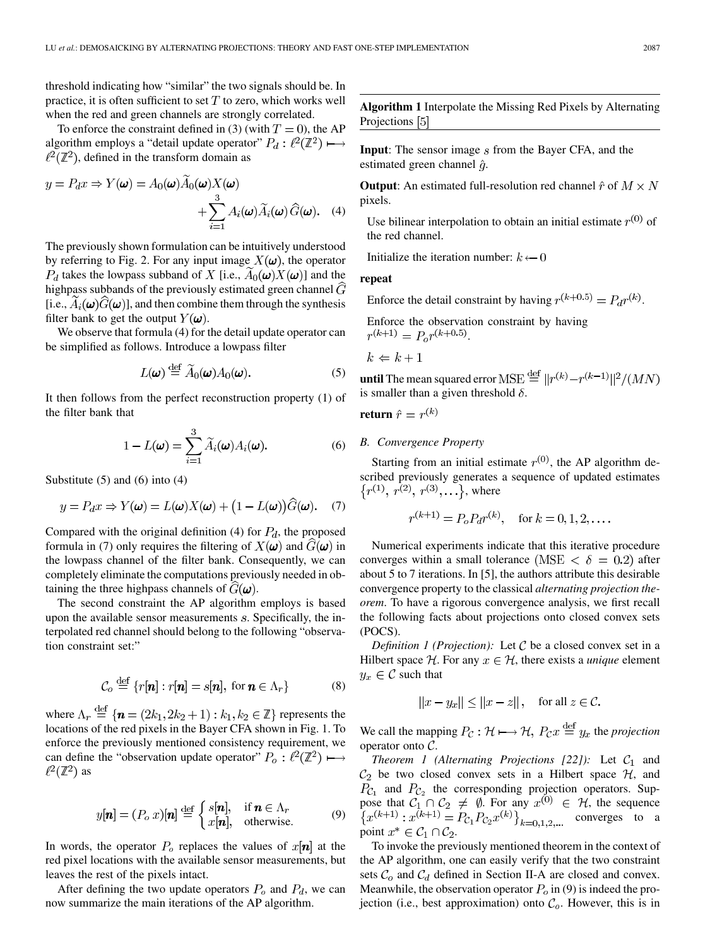threshold indicating how "similar" the two signals should be. In practice, it is often sufficient to set  $T$  to zero, which works well when the red and green channels are strongly correlated.

To enforce the constraint defined in (3) (with  $T = 0$ ), the AP algorithm employs a "detail update operator"  $P_d$ :  $\ell^2(\mathbb{Z}^2) \mapsto$  $\ell^2(\mathbb{Z}^2)$ , defined in the transform domain as

$$
y = P_d x \Rightarrow Y(\omega) = A_0(\omega) A_0(\omega) X(\omega)
$$
  
+ 
$$
\sum_{i=1}^3 A_i(\omega) \widetilde{A}_i(\omega) \widehat{G}(\omega).
$$
 (4)

The previously shown formulation can be intuitively understood by referring to Fig. 2. For any input image  $X(\omega)$ , the operator  $P_d$  takes the lowpass subband of X [i.e.,  $A_0(\boldsymbol{\omega})X(\boldsymbol{\omega})$ ] and the highpass subbands of the previously estimated green channel  $\hat{G}$ [i.e.,  $A_i(\omega)G(\omega)$ ], and then combine them through the synthesis filter bank to get the output  $Y(\omega)$ .

We observe that formula (4) for the detail update operator can be simplified as follows. Introduce a lowpass filter

$$
L(\boldsymbol{\omega}) \stackrel{\text{def}}{=} \widetilde{A}_0(\boldsymbol{\omega}) A_0(\boldsymbol{\omega}). \tag{5}
$$

It then follows from the perfect reconstruction property (1) of the filter bank that

$$
1 - L(\boldsymbol{\omega}) = \sum_{i=1}^{3} \widetilde{A}_i(\boldsymbol{\omega}) A_i(\boldsymbol{\omega}).
$$
 (6)

Substitute (5) and (6) into (4)

$$
y = P_d x \Rightarrow Y(\omega) = L(\omega)X(\omega) + (1 - L(\omega))\widehat{G}(\omega). \quad (7)
$$

Compared with the original definition (4) for  $P_d$ , the proposed formula in (7) only requires the filtering of  $X(\omega)$  and  $\hat{G}(\omega)$  in the lowpass channel of the filter bank. Consequently, we can completely eliminate the computations previously needed in obtaining the three highpass channels of  $G(\omega)$ .

The second constraint the AP algorithm employs is based upon the available sensor measurements  $s$ . Specifically, the interpolated red channel should belong to the following "observation constraint set:"

$$
\mathcal{C}_o \stackrel{\text{def}}{=} \{r[\boldsymbol{n}] : r[\boldsymbol{n}] = s[\boldsymbol{n}], \text{ for } \boldsymbol{n} \in \Lambda_r \} \tag{8}
$$

where  $\Lambda_r \stackrel{\text{def}}{=} {\{n = (2k_1, 2k_2 + 1) : k_1, k_2 \in \mathbb{Z}\}}$  represents the locations of the red pixels in the Bayer CFA shown in Fig. 1. To enforce the previously mentioned consistency requirement, we can define the "observation update operator"  $P_o: \ell^2(\mathbb{Z}^2) \mapsto$  $\ell^2(\mathbb{Z}^2)$  as

$$
y[\boldsymbol{n}] = (P_o \ x) [\boldsymbol{n}] \stackrel{\text{def}}{=} \begin{cases} s[\boldsymbol{n}], & \text{if } \boldsymbol{n} \in \Lambda_r \\ x[\boldsymbol{n}], & \text{otherwise.} \end{cases}
$$
(9)

In words, the operator  $P_o$  replaces the values of  $x[n]$  at the red pixel locations with the available sensor measurements, but leaves the rest of the pixels intact.

After defining the two update operators  $P_o$  and  $P_d$ , we can now summarize the main iterations of the AP algorithm.

**Algorithm 1** Interpolate the Missing Red Pixels by Alternating Projections [5]

**Input**: The sensor image  $s$  from the Bayer CFA, and the estimated green channel  $\hat{g}$ .

**Output**: An estimated full-resolution red channel  $\hat{r}$  of  $M \times N$ pixels.

Use bilinear interpolation to obtain an initial estimate  $r^{(0)}$  of the red channel.

Initialize the iteration number:  $k \leftarrow 0$ 

**repeat**

Enforce the detail constraint by having  $r^{(k+0.5)} = P_d r^{(k)}$ .

Enforce the observation constraint by having  $r^{(k+1)} = P_o r^{(k+0.5)}$ .

$$
k \Leftarrow k + 1
$$

**until** The mean squared error MSE  $\stackrel{\text{def}}{=} ||r^{(k)} - r^{(k-1)}||^2 / (MN)$ is smaller than a given threshold  $\delta$ .

$$
return \hat{r} = r^{(k)}
$$

# *B. Convergence Property*

Starting from an initial estimate  $r^{(0)}$ , the AP algorithm described previously generates a sequence of updated estimates  $\{r^{(1)}, r^{(2)}, r^{(3)}, \ldots\}$ , where

$$
r^{(k+1)} = P_o P_d r^{(k)}, \quad \text{for } k = 0, 1, 2, \dots.
$$

Numerical experiments indicate that this iterative procedure converges within a small tolerance (MSE  $\langle \delta = 0.2 \rangle$  after about 5 to 7 iterations. In [5], the authors attribute this desirable convergence property to the classical *alternating projection theorem*. To have a rigorous convergence analysis, we first recall the following facts about projections onto closed convex sets (POCS).

*Definition 1 (Projection):* Let  $C$  be a closed convex set in a Hilbert space  $H$ . For any  $x \in H$ , there exists a *unique* element  $y_x \in \mathcal{C}$  such that

$$
||x - y_x|| \le ||x - z||, \text{ for all } z \in \mathcal{C}.
$$

We call the mapping  $P_c : \mathcal{H} \mapsto \mathcal{H}$ ,  $P_c x \stackrel{\text{def}}{=} y_x$  the projection operator onto  $C$ .

*Theorem 1 (Alternating Projections [22]):* Let  $C_1$  and  $\mathcal{C}_2$  be two closed convex sets in a Hilbert space  $\mathcal{H}$ , and and  $P_{\mathcal{C}_2}$  the corresponding projection operators. Suppose that  $C_1 \cap C_2 \neq \emptyset$ . For any  $x^{(0)} \in \mathcal{H}$ , the sequence converges to a point  $x^* \in C_1 \cap C_2$ .

To invoke the previously mentioned theorem in the context of the AP algorithm, one can easily verify that the two constraint sets  $C<sub>o</sub>$  and  $C<sub>d</sub>$  defined in Section II-A are closed and convex. Meanwhile, the observation operator  $P_o$  in (9) is indeed the projection (i.e., best approximation) onto  $C<sub>o</sub>$ . However, this is in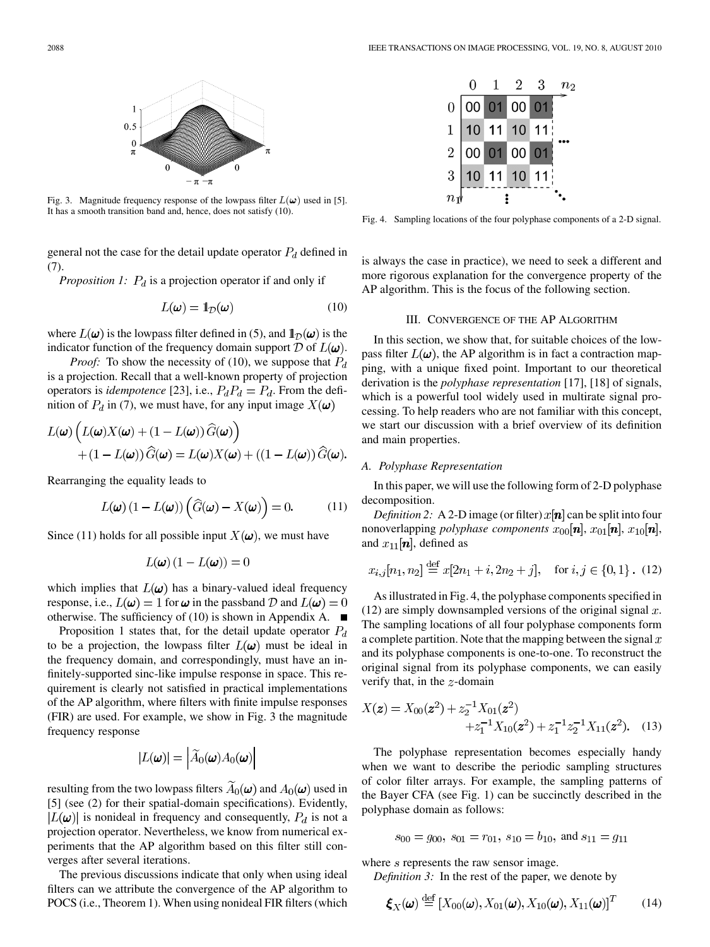

Fig. 3. Magnitude frequency response of the lowpass filter  $L(\omega)$  used in [5]. It has a smooth transition band and, hence, does not satisfy (10).

general not the case for the detail update operator  $P_d$  defined in (7).

*Proposition 1:*  $P_d$  is a projection operator if and only if

$$
L(\boldsymbol{\omega}) = \mathbb{1}_{\mathcal{D}}(\boldsymbol{\omega}) \tag{10}
$$

where  $L(\omega)$  is the lowpass filter defined in (5), and  $\mathbb{1}_{\mathcal{D}}(\omega)$  is the indicator function of the frequency domain support  $D$  of  $L(\omega)$ .

*Proof:* To show the necessity of (10), we suppose that  $P_d$ is a projection. Recall that a well-known property of projection operators is *idempotence* [23], i.e.,  $P_dP_d = P_d$ . From the definition of  $P_d$  in (7), we must have, for any input image  $X(\omega)$ 

$$
L(\boldsymbol{\omega})\left(L(\boldsymbol{\omega})X(\boldsymbol{\omega})+(1-L(\boldsymbol{\omega}))\widehat{G}(\boldsymbol{\omega})\right) + (1-L(\boldsymbol{\omega}))\widehat{G}(\boldsymbol{\omega})=L(\boldsymbol{\omega})X(\boldsymbol{\omega})+((1-L(\boldsymbol{\omega}))\widehat{G}(\boldsymbol{\omega}).
$$

Rearranging the equality leads to

$$
L(\boldsymbol{\omega}) (1 - L(\boldsymbol{\omega})) \left( \widehat{G}(\boldsymbol{\omega}) - X(\boldsymbol{\omega}) \right) = 0.
$$
 (11)

Since (11) holds for all possible input  $X(\omega)$ , we must have

$$
L(\boldsymbol{\omega})\left(1-L(\boldsymbol{\omega})\right)=0
$$

which implies that  $L(\omega)$  has a binary-valued ideal frequency response, i.e.,  $L(\omega) = 1$  for  $\omega$  in the passband D and  $L(\omega) = 0$ otherwise. The sufficiency of (10) is shown in Appendix A.  $\blacksquare$ 

Proposition 1 states that, for the detail update operator  $P_d$ to be a projection, the lowpass filter  $L(\omega)$  must be ideal in the frequency domain, and correspondingly, must have an infinitely-supported sinc-like impulse response in space. This requirement is clearly not satisfied in practical implementations of the AP algorithm, where filters with finite impulse responses (FIR) are used. For example, we show in Fig. 3 the magnitude frequency response

$$
|L(\boldsymbol{\omega})| = \left| \widetilde{A}_0(\boldsymbol{\omega}) A_0(\boldsymbol{\omega}) \right|
$$

resulting from the two lowpass filters  $\widetilde{A}_0(\boldsymbol{\omega})$  and  $A_0(\boldsymbol{\omega})$  used in [5] (see (2) for their spatial-domain specifications). Evidently,  $|L(\boldsymbol{\omega})|$  is nonideal in frequency and consequently,  $P_d$  is not a projection operator. Nevertheless, we know from numerical experiments that the AP algorithm based on this filter still converges after several iterations.

The previous discussions indicate that only when using ideal filters can we attribute the convergence of the AP algorithm to POCS (i.e., Theorem 1). When using nonideal FIR filters (which



Fig. 4. Sampling locations of the four polyphase components of a 2-D signal.

is always the case in practice), we need to seek a different and more rigorous explanation for the convergence property of the AP algorithm. This is the focus of the following section.

## III. CONVERGENCE OF THE AP ALGORITHM

In this section, we show that, for suitable choices of the lowpass filter  $L(\omega)$ , the AP algorithm is in fact a contraction mapping, with a unique fixed point. Important to our theoretical derivation is the *polyphase representation* [17], [18] of signals, which is a powerful tool widely used in multirate signal processing. To help readers who are not familiar with this concept, we start our discussion with a brief overview of its definition and main properties.

#### *A. Polyphase Representation*

In this paper, we will use the following form of 2-D polyphase decomposition.

*Definition 2:* A 2-D image (or filter)  $x[n]$  can be split into four nonoverlapping *polyphase components*  $x_{00}[\boldsymbol{n}], x_{01}[\boldsymbol{n}], x_{10}[\boldsymbol{n}],$ and  $x_{11}[n]$ , defined as

$$
x_{i,j}[n_1, n_2] \stackrel{\text{def}}{=} x[2n_1 + i, 2n_2 + j], \quad \text{for } i, j \in \{0, 1\} \,. \tag{12}
$$

As illustrated in Fig. 4, the polyphase components specified in (12) are simply downsampled versions of the original signal  $x$ . The sampling locations of all four polyphase components form a complete partition. Note that the mapping between the signal  $x$ and its polyphase components is one-to-one. To reconstruct the original signal from its polyphase components, we can easily verify that, in the  $z$ -domain

$$
X(\mathbf{z}) = X_{00}(\mathbf{z}^2) + z_2^{-1} X_{01}(\mathbf{z}^2) + z_1^{-1} z_2^{-1} X_{11}(\mathbf{z}^2). \tag{13}
$$

The polyphase representation becomes especially handy when we want to describe the periodic sampling structures of color filter arrays. For example, the sampling patterns of the Bayer CFA (see Fig. 1) can be succinctly described in the polyphase domain as follows:

$$
s_{00} = g_{00}, s_{01} = r_{01}, s_{10} = b_{10}, \text{ and } s_{11} = g_{11}
$$

where  $s$  represents the raw sensor image.

*Definition 3:* In the rest of the paper, we denote by

$$
\boldsymbol{\xi}_X(\boldsymbol{\omega}) \stackrel{\text{def}}{=} \left[X_{00}(\boldsymbol{\omega}), X_{01}(\boldsymbol{\omega}), X_{10}(\boldsymbol{\omega}), X_{11}(\boldsymbol{\omega})\right]^T \tag{14}
$$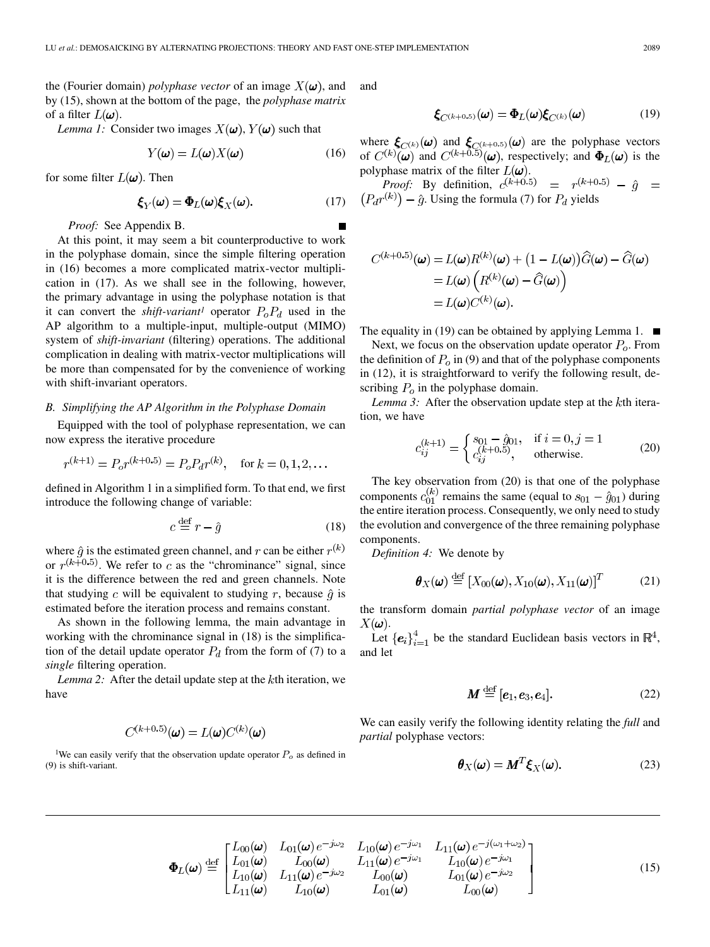the (Fourier domain) *polyphase vector* of an image  $X(\boldsymbol{\omega})$ , and by (15), shown at the bottom of the page, the *polyphase matrix* of a filter  $L(\boldsymbol{\omega})$ .

*Lemma 1:* Consider two images  $X(\omega)$ ,  $Y(\omega)$  such that

$$
Y(\boldsymbol{\omega}) = L(\boldsymbol{\omega})X(\boldsymbol{\omega})
$$
 (16)

for some filter  $L(\boldsymbol{\omega})$ . Then

$$
\boldsymbol{\xi}_{Y}(\boldsymbol{\omega}) = \boldsymbol{\Phi}_{L}(\boldsymbol{\omega}) \boldsymbol{\xi}_{X}(\boldsymbol{\omega}). \tag{17}
$$

*Proof:* See Appendix B.

At this point, it may seem a bit counterproductive to work in the polyphase domain, since the simple filtering operation in (16) becomes a more complicated matrix-vector multiplication in (17). As we shall see in the following, however, the primary advantage in using the polyphase notation is that it can convert the *shift-variant<sup>1</sup>* operator  $P_oP_d$  used in the AP algorithm to a multiple-input, multiple-output (MIMO) system of *shift-invariant* (filtering) operations. The additional complication in dealing with matrix-vector multiplications will be more than compensated for by the convenience of working with shift-invariant operators.

# *B. Simplifying the AP Algorithm in the Polyphase Domain*

Equipped with the tool of polyphase representation, we can now express the iterative procedure

$$
r^{(k+1)} = P_o r^{(k+0.5)} = P_o P_d r^{(k)},
$$
 for  $k = 0, 1, 2, ...$ 

defined in Algorithm 1 in a simplified form. To that end, we first introduce the following change of variable:

$$
c \stackrel{\text{def}}{=} r - \hat{g} \tag{18}
$$

where  $\hat{g}$  is the estimated green channel, and r can be either  $r^{(k)}$ or  $r^{(k+0.5)}$ . We refer to c as the "chrominance" signal, since it is the difference between the red and green channels. Note that studying c will be equivalent to studying r, because  $\hat{q}$  is estimated before the iteration process and remains constant.

As shown in the following lemma, the main advantage in working with the chrominance signal in (18) is the simplification of the detail update operator  $P_d$  from the form of (7) to a *single* filtering operation.

*Lemma 2:* After the detail update step at the *k*th iteration, we have

$$
C^{(k+0.5)}(\boldsymbol{\omega}) = L(\boldsymbol{\omega})C^{(k)}(\boldsymbol{\omega})
$$

<sup>1</sup>We can easily verify that the observation update operator  $P<sub>o</sub>$  as defined in (9) is shift-variant.

and

$$
\boldsymbol{\xi}_{C^{(k+0.5)}}(\boldsymbol{\omega}) = \boldsymbol{\Phi}_L(\boldsymbol{\omega}) \boldsymbol{\xi}_{C^{(k)}}(\boldsymbol{\omega}) \tag{19}
$$

where  $\xi_{C^{(k)}}(\omega)$  and  $\xi_{C^{(k+0.5)}}(\omega)$  are the polyphase vectors of  $C^{(k)}(\omega)$  and  $C^{(k+0.5)}(\omega)$ , respectively; and  $\Phi_L(\omega)$  is the polyphase matrix of the filter  $L(\boldsymbol{\omega})$ .

*Proof:* By definition,  $c^{(k+0.5)} = r^{(k+0.5)} - \hat{g}$  $(P_d r^{(k)}) - \hat{g}$ . Using the formula (7) for  $P_d$  yields

$$
C^{(k+0.5)}(\omega) = L(\omega)R^{(k)}(\omega) + (1 - L(\omega))\widehat{G}(\omega) - \widehat{G}(\omega)
$$
  
=  $L(\omega)\left(R^{(k)}(\omega) - \widehat{G}(\omega)\right)$   
=  $L(\omega)C^{(k)}(\omega)$ .

The equality in (19) can be obtained by applying Lemma 1.  $\blacksquare$ 

Next, we focus on the observation update operator  $P<sub>o</sub>$ . From the definition of  $P_o$  in (9) and that of the polyphase components in (12), it is straightforward to verify the following result, describing  $P<sub>o</sub>$  in the polyphase domain.

*Lemma 3:* After the observation update step at the kth iteration, we have

$$
c_{ij}^{(k+1)} = \begin{cases} s_{01} - \hat{g}_{01}, & \text{if } i = 0, j = 1\\ c_{ij}^{(k+0.5)}, & \text{otherwise.} \end{cases}
$$
 (20)

The key observation from (20) is that one of the polyphase components  $c_{01}^{(k)}$  remains the same (equal to  $s_{01} - \hat{g}_{01}$ ) during the entire iteration process. Consequently, we only need to study the evolution and convergence of the three remaining polyphase components.

*Definition 4:* We denote by

$$
\boldsymbol{\theta}_X(\boldsymbol{\omega}) \stackrel{\text{def}}{=} \left[X_{00}(\boldsymbol{\omega}), X_{10}(\boldsymbol{\omega}), X_{11}(\boldsymbol{\omega})\right]^T \tag{21}
$$

the transform domain *partial polyphase vector* of an image  $X(\boldsymbol{\omega})$ .

Let  ${e_i}_{i=1}^4$  be the standard Euclidean basis vectors in  $\mathbb{R}^4$ , and let

$$
M \stackrel{\text{def}}{=} [e_1, e_3, e_4]. \tag{22}
$$

We can easily verify the following identity relating the *full* and *partial* polyphase vectors:

$$
\boldsymbol{\theta}_X(\boldsymbol{\omega}) = \boldsymbol{M}^T \boldsymbol{\xi}_X(\boldsymbol{\omega}).
$$
\n(23)

$$
\Phi_L(\omega) \stackrel{\text{def}}{=} \begin{bmatrix} L_{00}(\omega) & L_{01}(\omega) e^{-j\omega_2} & L_{10}(\omega) e^{-j\omega_1} & L_{11}(\omega) e^{-j(\omega_1 + \omega_2)} \\ L_{01}(\omega) & L_{00}(\omega) & L_{11}(\omega) e^{-j\omega_1} & L_{10}(\omega) e^{-j\omega_1} \\ L_{10}(\omega) & L_{11}(\omega) e^{-j\omega_2} & L_{00}(\omega) & L_{01}(\omega) e^{-j\omega_2} \\ L_{11}(\omega) & L_{10}(\omega) & L_{01}(\omega) & L_{00}(\omega) \end{bmatrix} \tag{15}
$$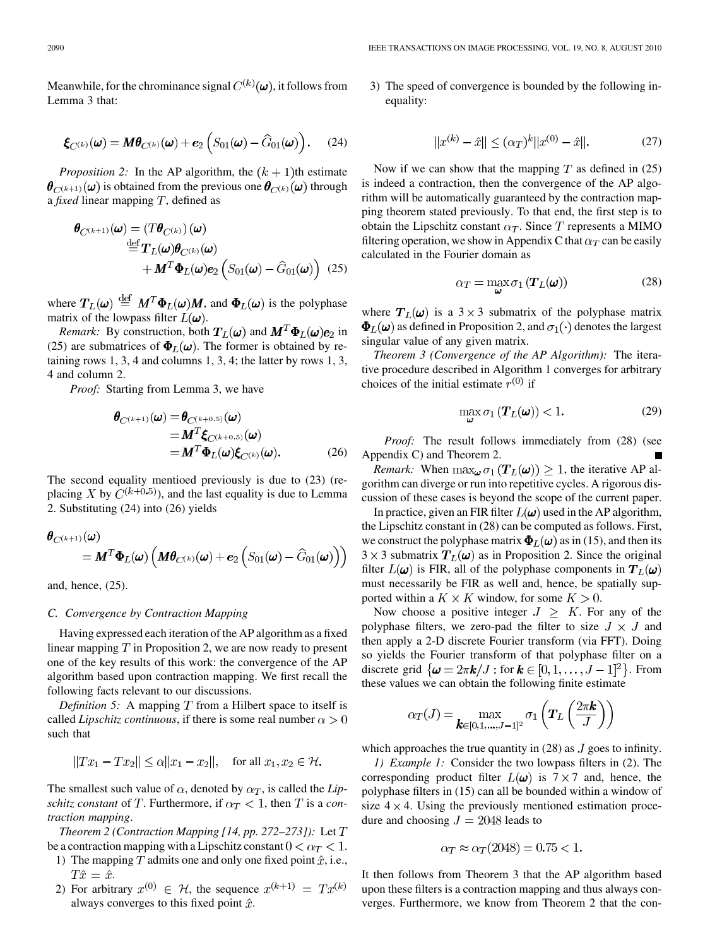Meanwhile, for the chrominance signal  $C^{(k)}(\boldsymbol{\omega})$ , it follows from Lemma 3 that:

$$
\boldsymbol{\xi}_{C^{(k)}}(\boldsymbol{\omega}) = \boldsymbol{M}\boldsymbol{\theta}_{C^{(k)}}(\boldsymbol{\omega}) + \boldsymbol{e}_2\left(S_{01}(\boldsymbol{\omega}) - \widehat{G}_{01}(\boldsymbol{\omega})\right). \tag{24}
$$

*Proposition 2:* In the AP algorithm, the  $(k + 1)$ th estimate  $\theta_{C^{(k+1)}}(\omega)$  is obtained from the previous one  $\theta_{C^{(k)}}(\omega)$  through a *fixed* linear mapping  $T$ , defined as

$$
\boldsymbol{\theta}_{C^{(k+1)}}(\boldsymbol{\omega}) = (T \boldsymbol{\theta}_{C^{(k)}})(\boldsymbol{\omega})
$$
  
\n
$$
\stackrel{\text{def}}{=} T_L(\boldsymbol{\omega}) \boldsymbol{\theta}_{C^{(k)}}(\boldsymbol{\omega})
$$
  
\n
$$
+ \boldsymbol{M}^T \boldsymbol{\Phi}_L(\boldsymbol{\omega}) e_2 \left( S_{01}(\boldsymbol{\omega}) - \widehat{G}_{01}(\boldsymbol{\omega}) \right) (25)
$$

where  $T_L(\omega) \stackrel{\text{def}}{=} M^T \Phi_L(\omega) M$ , and  $\Phi_L(\omega)$  is the polyphase matrix of the lowpass filter  $L(\boldsymbol{\omega})$ .

*Remark:* By construction, both  $T_L(\omega)$  and  $M^T\Phi_L(\omega)e_2$  in (25) are submatrices of  $\Phi_L(\omega)$ . The former is obtained by retaining rows  $1, 3, 4$  and columns  $1, 3, 4$ ; the latter by rows  $1, 3$ , 4 and column 2.

*Proof:* Starting from Lemma 3, we have

$$
\theta_{C^{(k+1)}}(\omega) = \theta_{C^{(k+0.5)}}(\omega)
$$
  
=  $M^T \xi_{C^{(k+0.5)}}(\omega)$   
=  $M^T \Phi_L(\omega) \xi_{C^{(k)}}(\omega)$ . (26)

The second equality mentioed previously is due to (23) (replacing X by  $C^{(k+0.5)}$ , and the last equality is due to Lemma 2. Substituting (24) into (26) yields

$$
\begin{aligned} \boldsymbol{\theta}_{C^{(k+1)}}(\boldsymbol{\omega}) \\ & = \boldsymbol{M}^T \boldsymbol{\Phi}_L(\boldsymbol{\omega}) \left( \boldsymbol{M} \boldsymbol{\theta}_{C^{(k)}}(\boldsymbol{\omega}) + \boldsymbol{e}_2 \left( S_{01}(\boldsymbol{\omega}) - \widehat{G}_{01}(\boldsymbol{\omega}) \right) \right) \end{aligned}
$$

and, hence, (25).

# *C. Convergence by Contraction Mapping*

Having expressed each iteration of the AP algorithm as a fixed linear mapping  $T$  in Proposition 2, we are now ready to present one of the key results of this work: the convergence of the AP algorithm based upon contraction mapping. We first recall the following facts relevant to our discussions.

*Definition 5:* A mapping  $T$  from a Hilbert space to itself is called *Lipschitz continuous*, if there is some real number  $\alpha > 0$ such that

$$
||Tx_1 - Tx_2|| \le \alpha ||x_1 - x_2||, \text{ for all } x_1, x_2 \in \mathcal{H}.
$$

The smallest such value of  $\alpha$ , denoted by  $\alpha_T$ , is called the *Lipschitz constant* of T. Furthermore, if  $\alpha_T < 1$ , then T is a *contraction mapping*.

*Theorem 2 (Contraction Mapping [14, pp. 272–273]):* Let be a contraction mapping with a Lipschitz constant  $0 < \alpha_T < 1$ .

- 1) The mapping T admits one and only one fixed point  $\hat{x}$ , i.e.,  $T\hat{x} = \hat{x}$ .
- 2) For arbitrary  $x^{(0)} \in H$ , the sequence  $x^{(k+1)} = Tx^{(k)}$ always converges to this fixed point  $\hat{x}$ .

3) The speed of convergence is bounded by the following inequality:

$$
||x^{(k)} - \hat{x}|| \le (\alpha_T)^k ||x^{(0)} - \hat{x}||. \tag{27}
$$

Now if we can show that the mapping  $T$  as defined in (25) is indeed a contraction, then the convergence of the AP algorithm will be automatically guaranteed by the contraction mapping theorem stated previously. To that end, the first step is to obtain the Lipschitz constant  $\alpha_T$ . Since T represents a MIMO filtering operation, we show in Appendix C that  $\alpha_T$  can be easily calculated in the Fourier domain as

$$
\alpha_T = \max_{\boldsymbol{\omega}} \sigma_1 \left( \boldsymbol{T}_L(\boldsymbol{\omega}) \right) \tag{28}
$$

where  $T_L(\omega)$  is a 3 × 3 submatrix of the polyphase matrix  $\Phi_L(\omega)$  as defined in Proposition 2, and  $\sigma_1(\cdot)$  denotes the largest singular value of any given matrix.

*Theorem 3 (Convergence of the AP Algorithm):* The iterative procedure described in Algorithm 1 converges for arbitrary choices of the initial estimate  $r^{(0)}$  if

$$
\max \sigma_1(\boldsymbol{T}_L(\boldsymbol{\omega})) < 1. \tag{29}
$$

*Proof:* The result follows immediately from (28) (see Appendix C) and Theorem 2.

*Remark:* When  $\max_{\boldsymbol{\omega}} \sigma_1(T_L(\boldsymbol{\omega})) \geq 1$ , the iterative AP algorithm can diverge or run into repetitive cycles. A rigorous discussion of these cases is beyond the scope of the current paper.

In practice, given an FIR filter  $L(\boldsymbol{\omega})$  used in the AP algorithm, the Lipschitz constant in (28) can be computed as follows. First, we construct the polyphase matrix  $\Phi_L(\omega)$  as in (15), and then its  $3 \times 3$  submatrix  $T_L(\omega)$  as in Proposition 2. Since the original filter  $L(\omega)$  is FIR, all of the polyphase components in  $T_L(\omega)$ must necessarily be FIR as well and, hence, be spatially supported within a  $K \times K$  window, for some  $K > 0$ .

Now choose a positive integer  $J \geq K$ . For any of the polyphase filters, we zero-pad the filter to size  $J \times J$  and then apply a 2-D discrete Fourier transform (via FFT). Doing so yields the Fourier transform of that polyphase filter on a discrete grid  $\{\boldsymbol{\omega} = 2\pi \boldsymbol{k}/J : \text{for } \boldsymbol{k} \in [0, 1, \dots, J-1]^2\}$ . From these values we can obtain the following finite estimate

$$
\alpha_T(J) = \max_{\boldsymbol{k} \in [0,1,\dots,J-1]^2} \sigma_1\left(\boldsymbol{T}_L\left(\frac{2\pi \boldsymbol{k}}{J}\right)\right)
$$

 $\mathcal{L}^{\text{max}}$ 

 $\sim 10^{-1}$ 

which approaches the true quantity in  $(28)$  as  $J$  goes to infinity.

*1) Example 1:* Consider the two lowpass filters in (2). The corresponding product filter  $L(\omega)$  is 7 × 7 and, hence, the polyphase filters in (15) can all be bounded within a window of size  $4 \times 4$ . Using the previously mentioned estimation procedure and choosing  $J = 2048$  leads to

$$
\alpha_T \approx \alpha_T(2048) = 0.75 < 1.
$$

It then follows from Theorem 3 that the AP algorithm based upon these filters is a contraction mapping and thus always converges. Furthermore, we know from Theorem 2 that the con-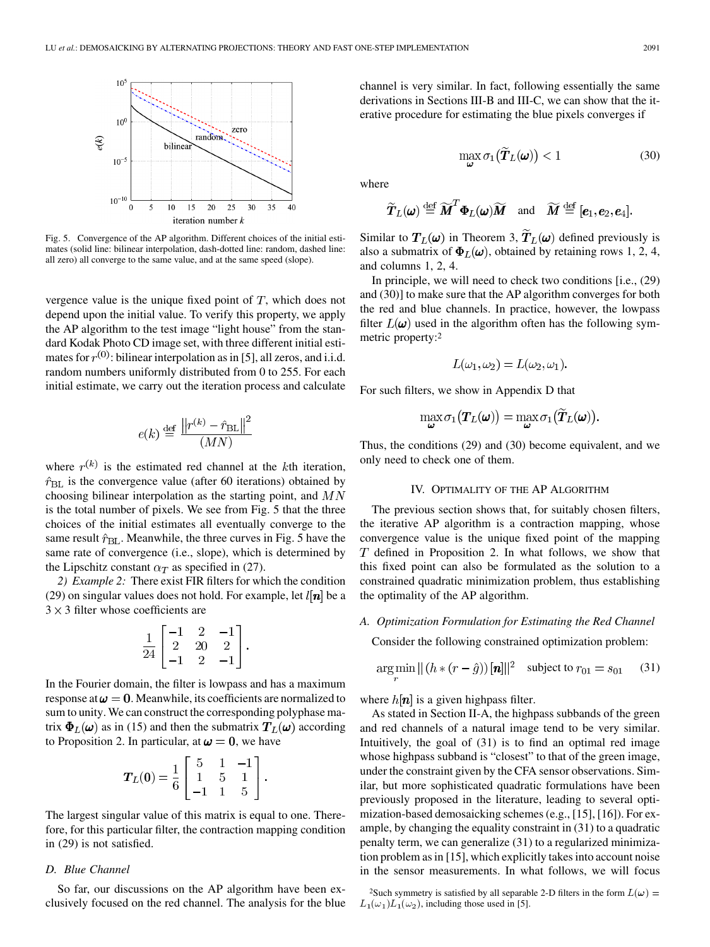

Fig. 5. Convergence of the AP algorithm. Different choices of the initial estimates (solid line: bilinear interpolation, dash-dotted line: random, dashed line: all zero) all converge to the same value, and at the same speed (slope).

vergence value is the unique fixed point of  $T$ , which does not depend upon the initial value. To verify this property, we apply the AP algorithm to the test image "light house" from the standard Kodak Photo CD image set, with three different initial estimates for  $r^{(0)}$ : bilinear interpolation as in [5], all zeros, and i.i.d. random numbers uniformly distributed from 0 to 255. For each initial estimate, we carry out the iteration process and calculate

$$
e(k) \stackrel{\text{def}}{=} \frac{\left\| r^{(k)} - \hat{r}_{\text{BL}} \right\|^2}{(MN)}
$$

where  $r^{(k)}$  is the estimated red channel at the kth iteration,  $\hat{r}_{\text{BL}}$  is the convergence value (after 60 iterations) obtained by choosing bilinear interpolation as the starting point, and  $MN$ is the total number of pixels. We see from Fig. 5 that the three choices of the initial estimates all eventually converge to the same result  $\hat{r}_{BL}$ . Meanwhile, the three curves in Fig. 5 have the same rate of convergence (i.e., slope), which is determined by the Lipschitz constant  $\alpha_T$  as specified in (27).

*2) Example 2:* There exist FIR filters for which the condition (29) on singular values does not hold. For example, let  $\ell[n]$  be a  $3 \times 3$  filter whose coefficients are

$$
\frac{1}{24} \begin{bmatrix} -1 & 2 & -1 \\ 2 & 20 & 2 \\ -1 & 2 & -1 \end{bmatrix}
$$

In the Fourier domain, the filter is lowpass and has a maximum response at  $\omega = 0$ . Meanwhile, its coefficients are normalized to sum to unity. We can construct the corresponding polyphase matrix  $\Phi_L(\omega)$  as in (15) and then the submatrix  $T_L(\omega)$  according to Proposition 2. In particular, at  $\omega = 0$ , we have

$$
T_L(0) = \frac{1}{6} \begin{bmatrix} 5 & 1 & -1 \\ 1 & 5 & 1 \\ -1 & 1 & 5 \end{bmatrix}.
$$

The largest singular value of this matrix is equal to one. Therefore, for this particular filter, the contraction mapping condition in (29) is not satisfied.

## *D. Blue Channel*

So far, our discussions on the AP algorithm have been exclusively focused on the red channel. The analysis for the blue channel is very similar. In fact, following essentially the same derivations in Sections III-B and III-C, we can show that the iterative procedure for estimating the blue pixels converges if

$$
\max \sigma_1(\widetilde{T}_L(\boldsymbol{\omega})) < 1\tag{30}
$$

where

$$
\widetilde{T}_L(\pmb\omega) \stackrel{\text{def}}{=} \widetilde{\pmb M}^T \pmb\Phi_L(\pmb\omega) \widetilde{\pmb M} \quad \text{and} \quad \widetilde{\pmb M} \stackrel{\text{def}}{=} [\pmb e_1, \pmb e_2, \pmb e_4].
$$

Similar to  $T_L(\omega)$  in Theorem 3,  $\tilde{T}_L(\omega)$  defined previously is also a submatrix of  $\Phi_L(\omega)$ , obtained by retaining rows 1, 2, 4, and columns 1, 2, 4.

In principle, we will need to check two conditions [i.e., (29) and (30)] to make sure that the AP algorithm converges for both the red and blue channels. In practice, however, the lowpass filter  $L(\omega)$  used in the algorithm often has the following symmetric property:2

$$
L(\omega_1, \omega_2) = L(\omega_2, \omega_1).
$$

For such filters, we show in Appendix D that

$$
\max_{\boldsymbol{\omega}} \sigma_1(\boldsymbol{T}_L(\boldsymbol{\omega})) = \max_{\boldsymbol{\omega}} \sigma_1(\widetilde{\boldsymbol{T}}_L(\boldsymbol{\omega}))
$$

Thus, the conditions (29) and (30) become equivalent, and we only need to check one of them.

# IV. OPTIMALITY OF THE AP ALGORITHM

The previous section shows that, for suitably chosen filters, the iterative AP algorithm is a contraction mapping, whose convergence value is the unique fixed point of the mapping  $T$  defined in Proposition 2. In what follows, we show that this fixed point can also be formulated as the solution to a constrained quadratic minimization problem, thus establishing the optimality of the AP algorithm.

# *A. Optimization Formulation for Estimating the Red Channel*

Consider the following constrained optimization problem:

$$
\underset{r}{\arg\min} || (h * (r - \hat{g}))[\mathbf{n}]||^2 \quad \text{subject to } r_{01} = s_{01} \quad (31)
$$

where  $h[n]$  is a given highpass filter.

As stated in Section II-A, the highpass subbands of the green and red channels of a natural image tend to be very similar. Intuitively, the goal of (31) is to find an optimal red image whose highpass subband is "closest" to that of the green image, under the constraint given by the CFA sensor observations. Similar, but more sophisticated quadratic formulations have been previously proposed in the literature, leading to several optimization-based demosaicking schemes (e.g., [15], [16]). For example, by changing the equality constraint in (31) to a quadratic penalty term, we can generalize (31) to a regularized minimization problem as in [15], which explicitly takes into account noise in the sensor measurements. In what follows, we will focus

<sup>&</sup>lt;sup>2</sup>Such symmetry is satisfied by all separable 2-D filters in the form  $L(\omega)$  =  $L_1(\omega_1) L_1(\omega_2)$ , including those used in [5].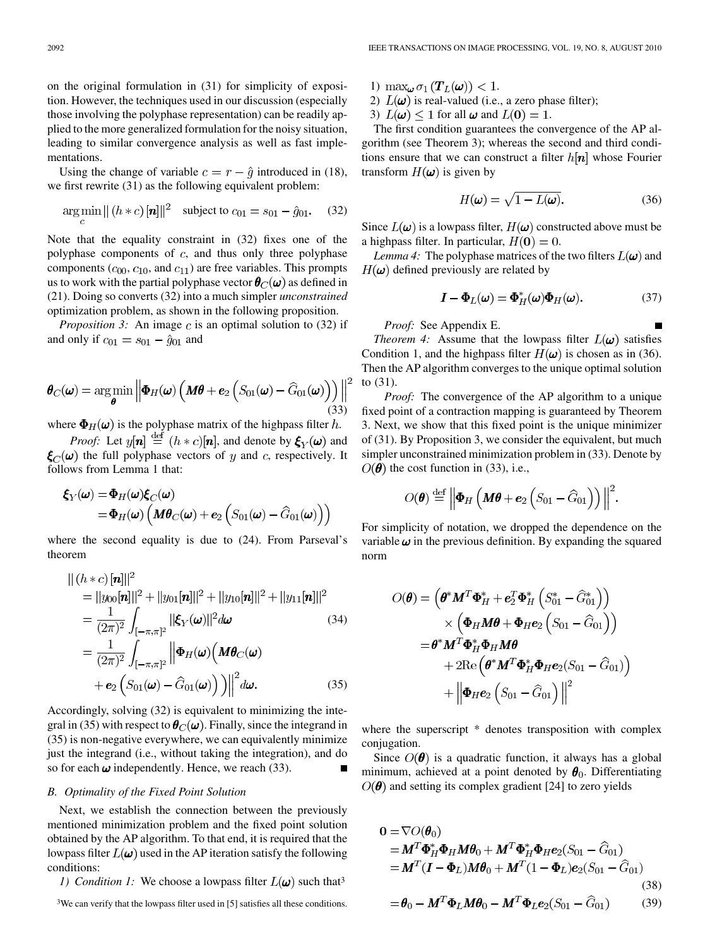on the original formulation in (31) for simplicity of exposition. However, the techniques used in our discussion (especially those involving the polyphase representation) can be readily applied to the more generalized formulation for the noisy situation, leading to similar convergence analysis as well as fast implementations.

Using the change of variable  $c = r - \hat{g}$  introduced in (18), we first rewrite (31) as the following equivalent problem:

$$
\underset{c}{\arg\min} || (h * c) [\mathbf{n}]||^2 \quad \text{subject to } c_{01} = s_{01} - \hat{g}_{01}. \quad (32)
$$

Note that the equality constraint in (32) fixes one of the polyphase components of  $c$ , and thus only three polyphase components  $(c_{00}, c_{10},$  and  $c_{11})$  are free variables. This prompts us to work with the partial polyphase vector  $\theta_C(\omega)$  as defined in (21). Doing so converts (32) into a much simpler *unconstrained* optimization problem, as shown in the following proposition.

*Proposition 3:* An image  $c$  is an optimal solution to (32) if and only if  $c_{01} = s_{01} - \hat{g}_{01}$  and

$$
\boldsymbol{\theta}_{C}(\boldsymbol{\omega}) = \argmin_{\boldsymbol{\theta}} \left\| \boldsymbol{\Phi}_{H}(\boldsymbol{\omega}) \left( \boldsymbol{M} \boldsymbol{\theta} + \boldsymbol{e}_{2} \left( S_{01}(\boldsymbol{\omega}) - \widehat{G}_{01}(\boldsymbol{\omega}) \right) \right) \right\|^{2}
$$
\n(33)

where  $\Phi_H(\omega)$  is the polyphase matrix of the highpass filter h.

*Proof:* Let  $y[n] \stackrel{\text{def}}{=} (h * c)[n]$ , and denote by  $\xi_Y(\omega)$  and  $\xi_C(\omega)$  the full polyphase vectors of y and c, respectively. It follows from Lemma 1 that:

$$
\mathbf{\xi}_{Y}(\boldsymbol{\omega}) = \mathbf{\Phi}_{H}(\boldsymbol{\omega})\mathbf{\xi}_{C}(\boldsymbol{\omega}) \n= \mathbf{\Phi}_{H}(\boldsymbol{\omega})\left(\mathbf{M}\boldsymbol{\theta}_{C}(\boldsymbol{\omega}) + \boldsymbol{e}_{2}\left(S_{01}(\boldsymbol{\omega}) - \widehat{G}_{01}(\boldsymbol{\omega})\right)\right)
$$

where the second equality is due to (24). From Parseval's theorem

$$
\begin{split}\n&|(h * c) [\mathbf{n}]||^{2} \\
&= ||y_{00}[\mathbf{n}]||^{2} + ||y_{01}[\mathbf{n}]||^{2} + ||y_{10}[\mathbf{n}]||^{2} + ||y_{11}[\mathbf{n}]||^{2} \\
&= \frac{1}{(2\pi)^{2}} \int_{[-\pi,\pi]^{2}} ||\xi_{Y}(\boldsymbol{\omega})||^{2} d\boldsymbol{\omega} \tag{34} \\
&= \frac{1}{(2\pi)^{2}} \int_{[-\pi,\pi]^{2}} ||\Phi_{H}(\boldsymbol{\omega}) (\boldsymbol{M}\boldsymbol{\theta}_{C}(\boldsymbol{\omega}) \\
&+ e_{2} \left( S_{01}(\boldsymbol{\omega}) - \widehat{G}_{01}(\boldsymbol{\omega}) \right) \big) \bigg\|^{2} d\boldsymbol{\omega}. \tag{35}\n\end{split}
$$

Accordingly, solving (32) is equivalent to minimizing the integral in (35) with respect to  $\theta_C(\omega)$ . Finally, since the integrand in (35) is non-negative everywhere, we can equivalently minimize just the integrand (i.e., without taking the integration), and do so for each  $\omega$  independently. Hence, we reach (33).

## *B. Optimality of the Fixed Point Solution*

Next, we establish the connection between the previously mentioned minimization problem and the fixed point solution obtained by the AP algorithm. To that end, it is required that the lowpass filter  $L(\omega)$  used in the AP iteration satisfy the following conditions:

*1) Condition 1:* We choose a lowpass filter  $L(\boldsymbol{\omega})$  such that<sup>3</sup>

3We can verify that the lowpass filter used in [5] satisfies all these conditions.

- 1)  $\max_{\boldsymbol{\omega}} \sigma_1(T_L(\boldsymbol{\omega})) < 1.$
- 2)  $L(\omega)$  is real-valued (i.e., a zero phase filter);
- 3)  $L(\omega) \leq 1$  for all  $\omega$  and  $L(0) = 1$ .

The first condition guarantees the convergence of the AP algorithm (see Theorem 3); whereas the second and third conditions ensure that we can construct a filter  $h[n]$  whose Fourier transform  $H(\omega)$  is given by

$$
H(\boldsymbol{\omega}) = \sqrt{1 - L(\boldsymbol{\omega})}.
$$
 (36)

Since  $L(\omega)$  is a lowpass filter,  $H(\omega)$  constructed above must be a highpass filter. In particular,  $H(0) = 0$ .

*Lemma 4:* The polyphase matrices of the two filters  $L(\boldsymbol{\omega})$  and  $H(\boldsymbol{\omega})$  defined previously are related by

$$
\mathbf{I} - \mathbf{\Phi}_L(\boldsymbol{\omega}) = \mathbf{\Phi}_H^*(\boldsymbol{\omega})\mathbf{\Phi}_H(\boldsymbol{\omega}).
$$
 (37)

*Proof:* See Appendix E.

*Theorem 4:* Assume that the lowpass filter  $L(\omega)$  satisfies Condition 1, and the highpass filter  $H(\omega)$  is chosen as in (36). Then the AP algorithm converges to the unique optimal solution to (31).

*Proof:* The convergence of the AP algorithm to a unique fixed point of a contraction mapping is guaranteed by Theorem 3. Next, we show that this fixed point is the unique minimizer of (31). By Proposition 3, we consider the equivalent, but much simpler unconstrained minimization problem in (33). Denote by  $O(\theta)$  the cost function in (33), i.e.,

$$
O(\boldsymbol{\theta}) \stackrel{\text{def}}{=} \Big\| \boldsymbol{\Phi}_H \left( \boldsymbol{M} \boldsymbol{\theta} + \boldsymbol{e}_2 \left( S_{01} - \widehat{G}_{01} \right) \right) \Big\|^2.
$$

For simplicity of notation, we dropped the dependence on the variable  $\omega$  in the previous definition. By expanding the squared norm

$$
O(\boldsymbol{\theta}) = \left(\boldsymbol{\theta}^* \boldsymbol{M}^T \boldsymbol{\Phi}_H^* + \boldsymbol{e}_2^T \boldsymbol{\Phi}_H^* \left(S_{01}^* - \widehat{G}_{01}^*\right)\right) \times \left(\boldsymbol{\Phi}_H \boldsymbol{M} \boldsymbol{\theta} + \boldsymbol{\Phi}_H \boldsymbol{e}_2 \left(S_{01} - \widehat{G}_{01}\right)\right) = \boldsymbol{\theta}^* \boldsymbol{M}^T \boldsymbol{\Phi}_H^* \boldsymbol{\Phi}_H \boldsymbol{M} \boldsymbol{\theta} + 2 \text{Re}\left(\boldsymbol{\theta}^* \boldsymbol{M}^T \boldsymbol{\Phi}_H^* \boldsymbol{\Phi}_H \boldsymbol{e}_2 (S_{01} - \widehat{G}_{01})\right) + \left\|\boldsymbol{\Phi}_H \boldsymbol{e}_2 \left(S_{01} - \widehat{G}_{01}\right)\right\|^2
$$

where the superscript  $*$  denotes transposition with complex conjugation.

Since  $O(\theta)$  is a quadratic function, it always has a global minimum, achieved at a point denoted by  $\theta_0$ . Differentiating  $O(\theta)$  and setting its complex gradient [24] to zero yields

$$
0 = \nabla O(\theta_0)
$$
  
=  $\mathbf{M}^T \mathbf{\Phi}_H^* \mathbf{\Phi}_H \mathbf{M} \theta_0 + \mathbf{M}^T \mathbf{\Phi}_H^* \mathbf{\Phi}_H \mathbf{e}_2 (S_{01} - \widehat{G}_{01})$   
=  $\mathbf{M}^T (\mathbf{I} - \mathbf{\Phi}_L) \mathbf{M} \theta_0 + \mathbf{M}^T (1 - \mathbf{\Phi}_L) \mathbf{e}_2 (S_{01} - \widehat{G}_{01})$   
=  $\theta_0 - \mathbf{M}^T \mathbf{\Phi}_L \mathbf{M} \theta_0 - \mathbf{M}^T \mathbf{\Phi}_L \mathbf{e}_2 (S_{01} - \widehat{G}_{01})$  (39)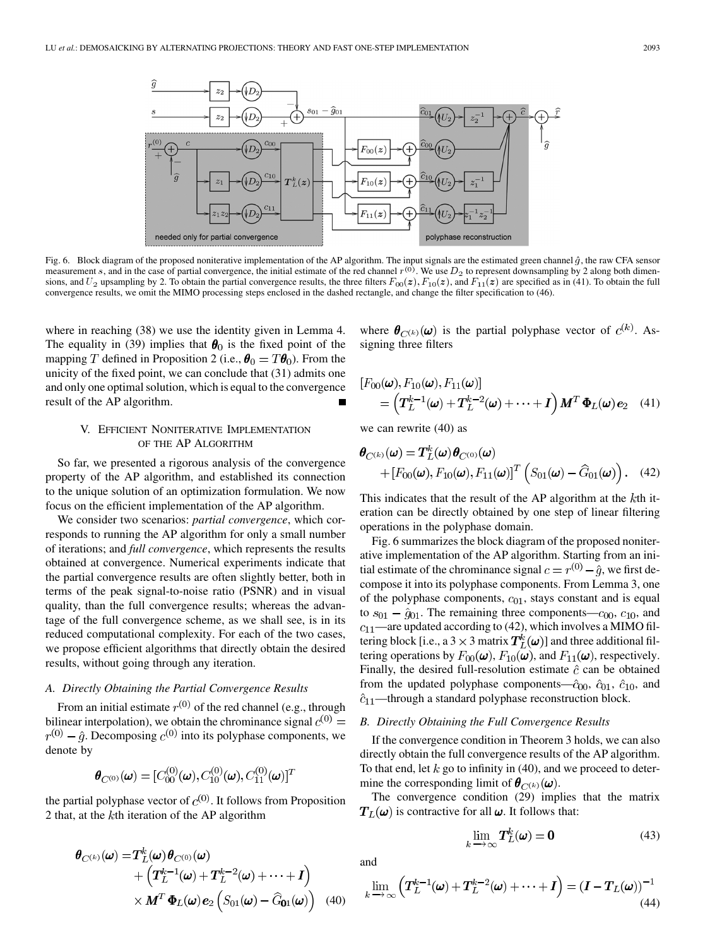

Fig. 6. Block diagram of the proposed noniterative implementation of the AP algorithm. The input signals are the estimated green channel  $\hat{g}$ , the raw CFA sensor measurement s, and in the case of partial convergence, the initial estimate of the red channel  $r^{(0)}$ . We use  $D_2$  to represent downsampling by 2 along both dimensions, and  $U_2$  upsampling by 2. To obtain the partial convergence results, the three filters  $F_{00}(z)$ ,  $F_{10}(z)$ , and  $F_{11}(z)$  are specified as in (41). To obtain the full convergence results, we omit the MIMO processing steps enclosed in the dashed rectangle, and change the filter specification to (46).

where in reaching (38) we use the identity given in Lemma 4. The equality in (39) implies that  $\theta_0$  is the fixed point of the mapping T defined in Proposition 2 (i.e.,  $\theta_0 = T\theta_0$ ). From the unicity of the fixed point, we can conclude that (31) admits one and only one optimal solution, which is equal to the convergence result of the AP algorithm.

# V. EFFICIENT NONITERATIVE IMPLEMENTATION OF THE AP ALGORITHM

So far, we presented a rigorous analysis of the convergence property of the AP algorithm, and established its connection to the unique solution of an optimization formulation. We now focus on the efficient implementation of the AP algorithm.

We consider two scenarios: *partial convergence*, which corresponds to running the AP algorithm for only a small number of iterations; and *full convergence*, which represents the results obtained at convergence. Numerical experiments indicate that the partial convergence results are often slightly better, both in terms of the peak signal-to-noise ratio (PSNR) and in visual quality, than the full convergence results; whereas the advantage of the full convergence scheme, as we shall see, is in its reduced computational complexity. For each of the two cases, we propose efficient algorithms that directly obtain the desired results, without going through any iteration.

## *A. Directly Obtaining the Partial Convergence Results*

From an initial estimate  $r^{(0)}$  of the red channel (e.g., through bilinear interpolation), we obtain the chrominance signal  $c^{(0)} =$  $r^{(0)}$  –  $\hat{g}$ . Decomposing  $c^{(0)}$  into its polyphase components, we denote by

$$
\boldsymbol{\theta}_{C^{(0)}}(\boldsymbol{\omega}) = [C_{00}^{(0)}(\boldsymbol{\omega}), C_{10}^{(0)}(\boldsymbol{\omega}), C_{11}^{(0)}(\boldsymbol{\omega})]^T
$$

the partial polyphase vector of  $c^{(0)}$ . It follows from Proposition 2 that, at the  $k$ th iteration of the AP algorithm

$$
\boldsymbol{\theta}_{C^{(k)}}(\boldsymbol{\omega}) = T_L^k(\boldsymbol{\omega}) \boldsymbol{\theta}_{C^{(0)}}(\boldsymbol{\omega}) + \left( T_L^{k-1}(\boldsymbol{\omega}) + T_L^{k-2}(\boldsymbol{\omega}) + \cdots + \boldsymbol{I} \right) \times \boldsymbol{M}^T \boldsymbol{\Phi}_L(\boldsymbol{\omega}) \boldsymbol{e}_2 \left( S_{01}(\boldsymbol{\omega}) - \widehat{G}_{01}(\boldsymbol{\omega}) \right) \tag{40}
$$

where  $\boldsymbol{\theta}_{C^{(k)}}(\boldsymbol{\omega})$  is the partial polyphase vector of  $c^{(k)}$ . Assigning three filters

$$
[F_{00}(\omega), F_{10}(\omega), F_{11}(\omega)]
$$
  
= 
$$
\left(T_L^{k-1}(\omega) + T_L^{k-2}(\omega) + \cdots + I\right) \mathbf{M}^T \mathbf{\Phi}_L(\omega) e_2 \quad (41)
$$

we can rewrite (40) as

$$
\boldsymbol{\theta}_{C^{(k)}}(\boldsymbol{\omega}) = T_L^k(\boldsymbol{\omega}) \boldsymbol{\theta}_{C^{(0)}}(\boldsymbol{\omega}) + [F_{00}(\boldsymbol{\omega}), F_{10}(\boldsymbol{\omega}), F_{11}(\boldsymbol{\omega})]^T \left( S_{01}(\boldsymbol{\omega}) - \widehat{G}_{01}(\boldsymbol{\omega}) \right). \quad (42)
$$

This indicates that the result of the AP algorithm at the  $k$ th iteration can be directly obtained by one step of linear filtering operations in the polyphase domain.

Fig. 6 summarizes the block diagram of the proposed noniterative implementation of the AP algorithm. Starting from an initial estimate of the chrominance signal  $c = r^{(0)} - \hat{g}$ , we first decompose it into its polyphase components. From Lemma 3, one of the polyphase components,  $c_{01}$ , stays constant and is equal to  $s_{01} - \hat{g}_{01}$ . The remaining three components— $c_{00}$ ,  $c_{10}$ , and  $c_{11}$ —are updated according to (42), which involves a MIMO filtering block [i.e., a 3  $\times$  3 matrix  $T_L^k(\omega)$ ] and three additional filtering operations by  $F_{00}(\omega)$ ,  $F_{10}(\omega)$ , and  $F_{11}(\omega)$ , respectively. Finally, the desired full-resolution estimate  $\hat{c}$  can be obtained from the updated polyphase components— $\hat{c}_{00}$ ,  $\hat{c}_{01}$ ,  $\hat{c}_{10}$ , and  $\hat{c}_{11}$ —through a standard polyphase reconstruction block.

## *B. Directly Obtaining the Full Convergence Results*

If the convergence condition in Theorem 3 holds, we can also directly obtain the full convergence results of the AP algorithm. To that end, let  $k$  go to infinity in (40), and we proceed to determine the corresponding limit of  $\theta_{C^{(k)}}(\omega)$ .

The convergence condition (29) implies that the matrix  $T_L(\omega)$  is contractive for all  $\omega$ . It follows that:

$$
\lim_{k \to \infty} T_L^k(\omega) = \mathbf{0} \tag{43}
$$

and

$$
\lim_{k \to \infty} \left( T_L^{k-1}(\boldsymbol{\omega}) + T_L^{k-2}(\boldsymbol{\omega}) + \dots + I \right) = \left( I - T_L(\boldsymbol{\omega}) \right)^{-1}
$$
\n(44)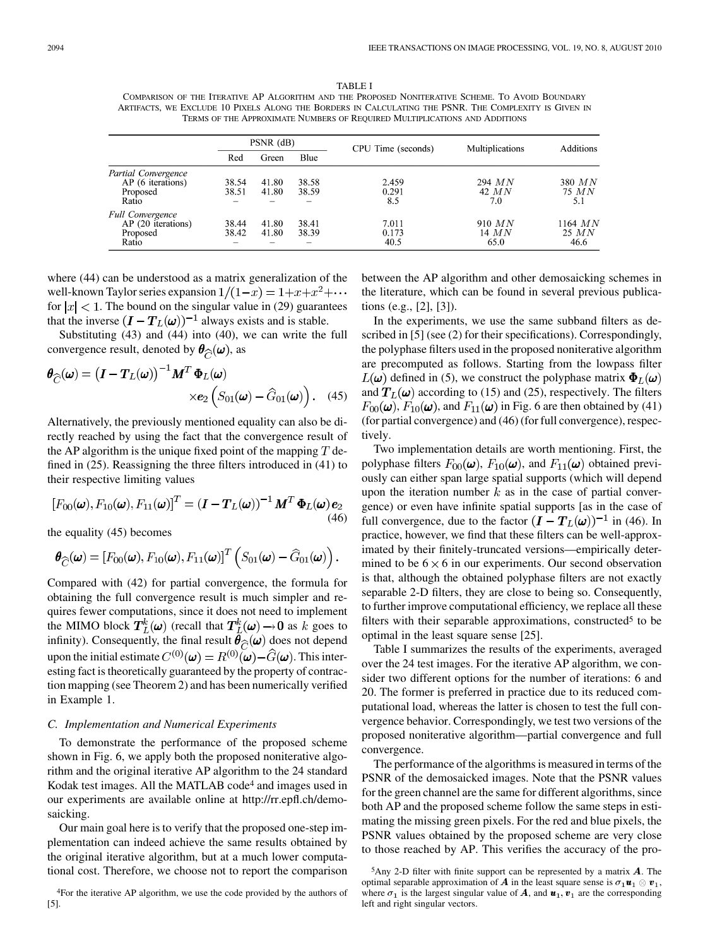TABLE I COMPARISON OF THE ITERATIVE AP ALGORITHM AND THE PROPOSED NONITERATIVE SCHEME. TO AVOID BOUNDARY ARTIFACTS, WE EXCLUDE 10 PIXELS ALONG THE BORDERS IN CALCULATING THE PSNR. THE COMPLEXITY IS GIVEN IN TERMS OF THE APPROXIMATE NUMBERS OF REQUIRED MULTIPLICATIONS AND ADDITIONS

|                         | PSNR (dB) |       |       | CPU Time (seconds) | Multiplications | Additions |
|-------------------------|-----------|-------|-------|--------------------|-----------------|-----------|
|                         | Red       | Green | Blue  |                    |                 |           |
| Partial Convergence     |           |       |       |                    |                 |           |
| AP (6 iterations)       | 38.54     | 41.80 | 38.58 | 2.459              | 294 MN          | 380 MN    |
| Proposed                | 38.51     | 41.80 | 38.59 | 0.291              | 42 MN           | 75 MN     |
| Ratio                   |           |       |       | 8.5                | 7.0             | 5.1       |
| <b>Full Convergence</b> |           |       |       |                    |                 |           |
| AP (20 iterations)      | 38.44     | 41.80 | 38.41 | 7.011              | 910 $MN$        | 1164 MN   |
| Proposed                | 38.42     | 41.80 | 38.39 | 0.173              | 14 MN           | $25$ $MN$ |
| Ratio                   |           |       |       | 40.5               | 65.0            | 46.6      |

where (44) can be understood as a matrix generalization of the well-known Taylor series expansion  $1/(1-x) = 1+x+x^2+\cdots$ for  $|x| < 1$ . The bound on the singular value in (29) guarantees that the inverse  $(I - T_L(\omega))^{-1}$  always exists and is stable.

Substituting (43) and (44) into (40), we can write the full convergence result, denoted by  $\theta_{\widehat{C}}(\omega)$ , as

$$
\boldsymbol{\theta}_{\widehat{C}}(\boldsymbol{\omega}) = \left(\boldsymbol{I} - \boldsymbol{T}_{L}(\boldsymbol{\omega})\right)^{-1} \boldsymbol{M}^T \boldsymbol{\Phi}_{L}(\boldsymbol{\omega})
$$

$$
\times \boldsymbol{e}_{2} \left(S_{01}(\boldsymbol{\omega}) - \widehat{G}_{01}(\boldsymbol{\omega})\right). \quad (45)
$$

Alternatively, the previously mentioned equality can also be directly reached by using the fact that the convergence result of the AP algorithm is the unique fixed point of the mapping  $T$  defined in (25). Reassigning the three filters introduced in (41) to their respective limiting values

$$
\left[F_{00}(\boldsymbol{\omega}), F_{10}(\boldsymbol{\omega}), F_{11}(\boldsymbol{\omega})\right]^T = \left(\boldsymbol{I} - \boldsymbol{T}_L(\boldsymbol{\omega})\right)^{-1} \boldsymbol{M}^T \boldsymbol{\Phi}_L(\boldsymbol{\omega}) \boldsymbol{e}_2
$$
\n(46)

the equality (45) becomes

$$
\boldsymbol{\theta}_{\widehat{C}}(\boldsymbol{\omega}) = \left[F_{00}(\boldsymbol{\omega}), F_{10}(\boldsymbol{\omega}), F_{11}(\boldsymbol{\omega})\right]^T \left(S_{01}(\boldsymbol{\omega}) - \widehat{G}_{01}(\boldsymbol{\omega})\right).
$$

Compared with (42) for partial convergence, the formula for obtaining the full convergence result is much simpler and requires fewer computations, since it does not need to implement the MIMO block  $T_L^k(\omega)$  (recall that  $T_L^k(\omega) \rightarrow 0$  as k goes to infinity). Consequently, the final result  $\theta_{\widehat{C}}(\omega)$  does not depend upon the initial estimate  $C^{(0)}(\omega) = R^{(0)}(\omega) - \widehat{G}(\omega)$ . This interesting fact is theoretically guaranteed by the property of contraction mapping (see Theorem 2) and has been numerically verified in Example 1.

### *C. Implementation and Numerical Experiments*

To demonstrate the performance of the proposed scheme shown in Fig. 6, we apply both the proposed noniterative algorithm and the original iterative AP algorithm to the 24 standard Kodak test images. All the MATLAB code<sup>4</sup> and images used in our experiments are available online at http://rr.epfl.ch/demosaicking.

Our main goal here is to verify that the proposed one-step implementation can indeed achieve the same results obtained by the original iterative algorithm, but at a much lower computational cost. Therefore, we choose not to report the comparison between the AP algorithm and other demosaicking schemes in the literature, which can be found in several previous publications (e.g., [2], [3]).

In the experiments, we use the same subband filters as described in [5] (see (2) for their specifications). Correspondingly, the polyphase filters used in the proposed noniterative algorithm are precomputed as follows. Starting from the lowpass filter  $L(\boldsymbol{\omega})$  defined in (5), we construct the polyphase matrix  $\boldsymbol{\Phi}_L(\boldsymbol{\omega})$ and  $T_L(\omega)$  according to (15) and (25), respectively. The filters  $F_{00}(\omega)$ ,  $F_{10}(\omega)$ , and  $F_{11}(\omega)$  in Fig. 6 are then obtained by (41) (for partial convergence) and (46) (for full convergence), respectively.

Two implementation details are worth mentioning. First, the polyphase filters  $F_{00}(\omega)$ ,  $F_{10}(\omega)$ , and  $F_{11}(\omega)$  obtained previously can either span large spatial supports (which will depend upon the iteration number  $k$  as in the case of partial convergence) or even have infinite spatial supports [as in the case of full convergence, due to the factor  $(I - T_L(\omega))^{-1}$  in (46). In practice, however, we find that these filters can be well-approximated by their finitely-truncated versions—empirically determined to be  $6 \times 6$  in our experiments. Our second observation is that, although the obtained polyphase filters are not exactly separable 2-D filters, they are close to being so. Consequently, to further improve computational efficiency, we replace all these filters with their separable approximations, constructed<sup>5</sup> to be optimal in the least square sense [25].

Table I summarizes the results of the experiments, averaged over the 24 test images. For the iterative AP algorithm, we consider two different options for the number of iterations: 6 and 20. The former is preferred in practice due to its reduced computational load, whereas the latter is chosen to test the full convergence behavior. Correspondingly, we test two versions of the proposed noniterative algorithm—partial convergence and full convergence.

The performance of the algorithms is measured in terms of the PSNR of the demosaicked images. Note that the PSNR values for the green channel are the same for different algorithms, since both AP and the proposed scheme follow the same steps in estimating the missing green pixels. For the red and blue pixels, the PSNR values obtained by the proposed scheme are very close to those reached by AP. This verifies the accuracy of the pro-

<sup>4</sup>For the iterative AP algorithm, we use the code provided by the authors of [5].

 $5$ Any 2-D filter with finite support can be represented by a matrix  $A$ . The optimal separable approximation of A in the least square sense is  $\sigma_1 \mathbf{u}_1 \otimes \mathbf{v}_1$ , where  $\sigma_1$  is the largest singular value of A, and  $\mathbf{u}_1, \mathbf{v}_1$  are the corresponding left and right singular vectors.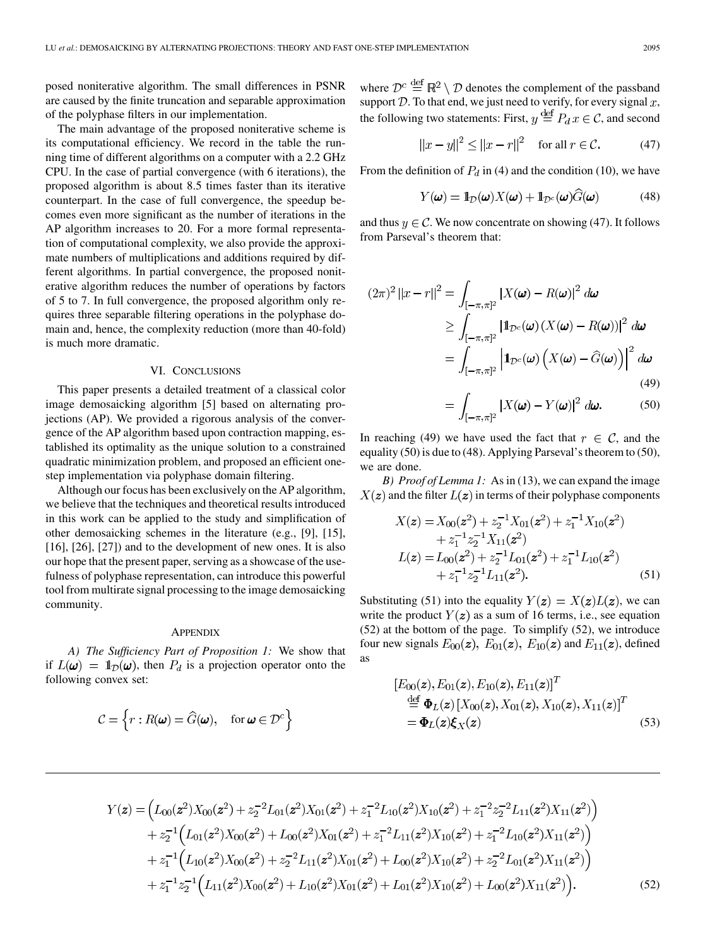posed noniterative algorithm. The small differences in PSNR are caused by the finite truncation and separable approximation of the polyphase filters in our implementation.

The main advantage of the proposed noniterative scheme is its computational efficiency. We record in the table the running time of different algorithms on a computer with a 2.2 GHz CPU. In the case of partial convergence (with 6 iterations), the proposed algorithm is about 8.5 times faster than its iterative counterpart. In the case of full convergence, the speedup becomes even more significant as the number of iterations in the AP algorithm increases to 20. For a more formal representation of computational complexity, we also provide the approximate numbers of multiplications and additions required by different algorithms. In partial convergence, the proposed noniterative algorithm reduces the number of operations by factors of 5 to 7. In full convergence, the proposed algorithm only requires three separable filtering operations in the polyphase domain and, hence, the complexity reduction (more than 40-fold) is much more dramatic.

# VI. CONCLUSIONS

This paper presents a detailed treatment of a classical color image demosaicking algorithm [5] based on alternating projections (AP). We provided a rigorous analysis of the convergence of the AP algorithm based upon contraction mapping, established its optimality as the unique solution to a constrained quadratic minimization problem, and proposed an efficient onestep implementation via polyphase domain filtering.

Although our focus has been exclusively on the AP algorithm, we believe that the techniques and theoretical results introduced in this work can be applied to the study and simplification of other demosaicking schemes in the literature (e.g., [9], [15], [16], [26], [27]) and to the development of new ones. It is also our hope that the present paper, serving as a showcase of the usefulness of polyphase representation, can introduce this powerful tool from multirate signal processing to the image demosaicking community.

# **APPENDIX**

*A) The Sufficiency Part of Proposition 1:* We show that if  $L(\omega) = 1\mathbb{I}_{\mathcal{D}}(\omega)$ , then  $P_d$  is a projection operator onto the following convex set:

$$
\mathcal{C} = \left\{ r : R(\boldsymbol{\omega}) = \widehat{G}(\boldsymbol{\omega}), \quad \text{for } \boldsymbol{\omega} \in \mathcal{D}^c \right\}
$$

where  $\mathcal{D}^c \stackrel{\text{def}}{=} \mathbb{R}^2 \setminus \mathcal{D}$  denotes the complement of the passband support  $D$ . To that end, we just need to verify, for every signal  $x$ , the following two statements: First,  $y \stackrel{\text{def}}{=} P_d x \in \mathcal{C}$ , and second

$$
||x - y||^2 \le ||x - r||^2 \quad \text{for all } r \in \mathcal{C}.
$$
 (47)

From the definition of  $P_d$  in (4) and the condition (10), we have

$$
Y(\boldsymbol{\omega}) = \mathbb{1}_{\mathcal{D}}(\boldsymbol{\omega})X(\boldsymbol{\omega}) + \mathbb{1}_{\mathcal{D}^c}(\boldsymbol{\omega})\widehat{G}(\boldsymbol{\omega})
$$
(48)

and thus  $y \in \mathcal{C}$ . We now concentrate on showing (47). It follows from Parseval's theorem that:

$$
(2\pi)^{2} ||x - r||^{2} = \int_{[-\pi,\pi]^{2}} |X(\omega) - R(\omega)|^{2} d\omega
$$
  
\n
$$
\geq \int_{[-\pi,\pi]^{2}} |1_{\mathcal{D}^{c}}(\omega) (X(\omega) - R(\omega))|^{2} d\omega
$$
  
\n
$$
= \int_{[-\pi,\pi]^{2}} |1_{\mathcal{D}^{c}}(\omega) (X(\omega) - \widehat{G}(\omega))|^{2} d\omega
$$
\n(49)

$$
= \int_{[-\pi,\pi]^2} |X(\boldsymbol{\omega}) - Y(\boldsymbol{\omega})|^2 d\boldsymbol{\omega}.
$$
 (50)

In reaching (49) we have used the fact that  $r \in \mathcal{C}$ , and the equality (50) is due to (48). Applying Parseval's theorem to (50), we are done.

*B) Proof of Lemma 1:* As in (13), we can expand the image  $X(z)$  and the filter  $L(z)$  in terms of their polyphase components

$$
X(z) = X_{00}(z^{2}) + z_{2}^{-1}X_{01}(z^{2}) + z_{1}^{-1}X_{10}(z^{2})
$$
  
+  $z_{1}^{-1}z_{2}^{-1}X_{11}(z^{2})$   

$$
L(z) = L_{00}(z^{2}) + z_{2}^{-1}L_{01}(z^{2}) + z_{1}^{-1}L_{10}(z^{2})
$$
  
+  $z_{1}^{-1}z_{2}^{-1}L_{11}(z^{2}).$  (51)

Substituting (51) into the equality  $Y(z) = X(z)L(z)$ , we can write the product  $Y(z)$  as a sum of 16 terms, i.e., see equation (52) at the bottom of the page. To simplify (52), we introduce four new signals  $E_{00}(z)$ ,  $E_{01}(z)$ ,  $E_{10}(z)$  and  $E_{11}(z)$ , defined as

$$
[E_{00}(z), E_{01}(z), E_{10}(z), E_{11}(z)]T
$$
  
\n
$$
\stackrel{\text{def}}{=} \Phi_L(z) [X_{00}(z), X_{01}(z), X_{10}(z), X_{11}(z)]^T
$$
  
\n
$$
= \Phi_L(z) \xi_X(z)
$$
\n(53)

$$
Y(\mathbf{z}) = \left( L_{00}(\mathbf{z}^2) X_{00}(\mathbf{z}^2) + z_2^{-2} L_{01}(\mathbf{z}^2) X_{01}(\mathbf{z}^2) + z_1^{-2} L_{10}(\mathbf{z}^2) X_{10}(\mathbf{z}^2) + z_1^{-2} z_2^{-2} L_{11}(\mathbf{z}^2) X_{11}(\mathbf{z}^2) \right) + z_2^{-1} \left( L_{01}(\mathbf{z}^2) X_{00}(\mathbf{z}^2) + L_{00}(\mathbf{z}^2) X_{01}(\mathbf{z}^2) + z_1^{-2} L_{11}(\mathbf{z}^2) X_{10}(\mathbf{z}^2) + z_1^{-2} L_{10}(\mathbf{z}^2) X_{11}(\mathbf{z}^2) \right) + z_1^{-1} \left( L_{10}(\mathbf{z}^2) X_{00}(\mathbf{z}^2) + z_2^{-2} L_{11}(\mathbf{z}^2) X_{01}(\mathbf{z}^2) + L_{00}(\mathbf{z}^2) X_{10}(\mathbf{z}^2) + z_2^{-2} L_{01}(\mathbf{z}^2) X_{11}(\mathbf{z}^2) \right) + z_1^{-1} z_2^{-1} \left( L_{11}(\mathbf{z}^2) X_{00}(\mathbf{z}^2) + L_{10}(\mathbf{z}^2) X_{01}(\mathbf{z}^2) + L_{01}(\mathbf{z}^2) X_{10}(\mathbf{z}^2) + L_{00}(\mathbf{z}^2) X_{11}(\mathbf{z}^2) \right).
$$
(52)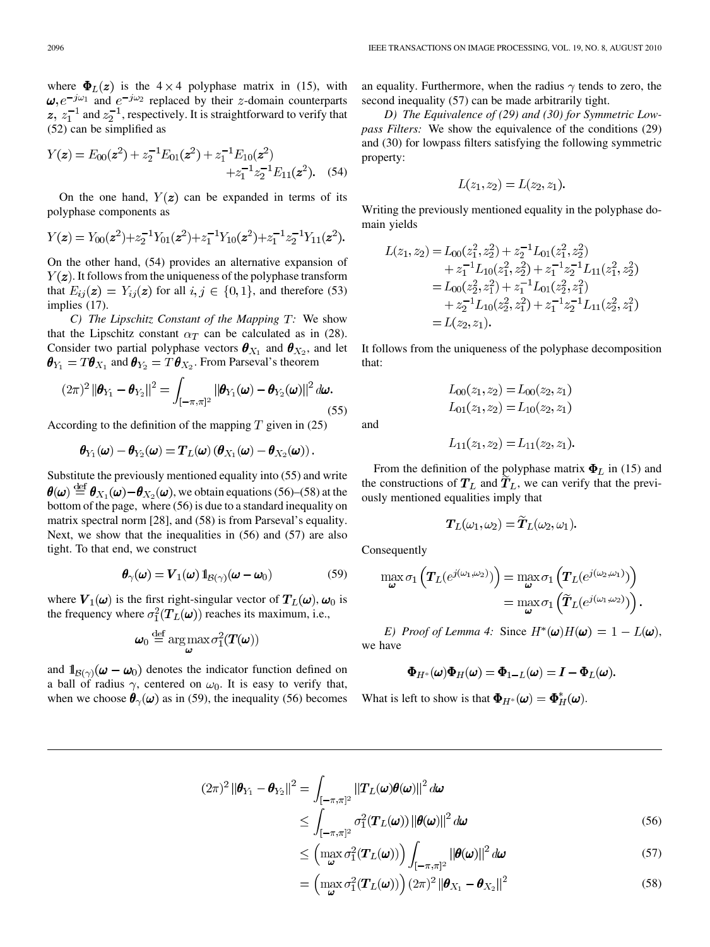where  $\Phi_L(z)$  is the 4 × 4 polyphase matrix in (15), with  $\omega$ ,  $e^{-j\omega_1}$  and  $e^{-j\omega_2}$  replaced by their *z*-domain counterparts  $z, z_1^{-1}$  and  $z_2^{-1}$ , respectively. It is straightforward to verify that (52) can be simplified as

$$
Y(z) = E_{00}(z^2) + z_2^{-1} E_{01}(z^2) + z_1^{-1} E_{10}(z^2)
$$
  
 
$$
+ z_1^{-1} z_2^{-1} E_{11}(z^2). \quad (54)
$$

On the one hand,  $Y(z)$  can be expanded in terms of its polyphase components as

$$
Y(z) = Y_{00}(z^2) + z_2^{-1}Y_{01}(z^2) + z_1^{-1}Y_{10}(z^2) + z_1^{-1}z_2^{-1}Y_{11}(z^2).
$$

On the other hand, (54) provides an alternative expansion of  $Y(z)$ . It follows from the uniqueness of the polyphase transform that  $E_{ij}(z) = Y_{ij}(z)$  for all  $i, j \in \{0, 1\}$ , and therefore (53) implies (17).

*C)* The Lipschitz Constant of the Mapping  $T$ : We show that the Lipschitz constant  $\alpha_T$  can be calculated as in (28). Consider two partial polyphase vectors  $\boldsymbol{\theta}_{X_1}$  and  $\boldsymbol{\theta}_{X_2}$ , and let  $\pmb{\theta}_{Y_1} = T\pmb{\theta}_{X_1}$  and  $\pmb{\theta}_{Y_2} = T\pmb{\theta}_{X_2}$ . From Parseval's theorem

$$
(2\pi)^2 \left\|\boldsymbol{\theta}_{Y_1} - \boldsymbol{\theta}_{Y_2}\right\|^2 = \int_{[-\pi,\pi]^2} \left\|\boldsymbol{\theta}_{Y_1}(\boldsymbol{\omega}) - \boldsymbol{\theta}_{Y_2}(\boldsymbol{\omega})\right\|^2 d\boldsymbol{\omega}.
$$
\n(55)

According to the definition of the mapping  $T$  given in (25)

$$
\pmb{\theta}_{Y_1}(\pmb{\omega})-\pmb{\theta}_{Y_2}(\pmb{\omega})=\pmb{T}_L(\pmb{\omega})\left(\pmb{\theta}_{X_1}(\pmb{\omega})-\pmb{\theta}_{X_2}(\pmb{\omega})\right).
$$

Substitute the previously mentioned equality into (55) and write  $\theta(\omega) \stackrel{\text{def}}{=} \theta_{X_1}(\omega) - \theta_{X_2}(\omega)$ , we obtain equations (56)–(58) at the bottom of the page, where (56) is due to a standard inequality on matrix spectral norm [28], and (58) is from Parseval's equality. Next, we show that the inequalities in (56) and (57) are also tight. To that end, we construct

$$
\boldsymbol{\theta}_{\gamma}(\boldsymbol{\omega}) = \boldsymbol{V}_{1}(\boldsymbol{\omega}) \, \mathbb{1}_{\mathcal{B}(\gamma)}(\boldsymbol{\omega} - \boldsymbol{\omega}_{0}) \tag{59}
$$

where  $V_1(\omega)$  is the first right-singular vector of  $T_L(\omega)$ ,  $\omega_0$  is the frequency where  $\sigma_1^2(T_L(\omega))$  reaches its maximum, i.e.,

$$
\boldsymbol{\omega}_0\stackrel{\text{def}}{=}\argmax_{\boldsymbol{\omega}}\sigma_1^2(\boldsymbol{T}(\boldsymbol{\omega}))
$$

and  $1_{\mathcal{B}(\gamma)}(\omega - \omega_0)$  denotes the indicator function defined on a ball of radius  $\gamma$ , centered on  $\omega_0$ . It is easy to verify that, when we choose  $\theta_{\gamma}(\omega)$  as in (59), the inequality (56) becomes an equality. Furthermore, when the radius  $\gamma$  tends to zero, the second inequality (57) can be made arbitrarily tight.

*D) The Equivalence of (29) and (30) for Symmetric Lowpass Filters:* We show the equivalence of the conditions (29) and (30) for lowpass filters satisfying the following symmetric property:

$$
L(z_1, z_2) = L(z_2, z_1).
$$

Writing the previously mentioned equality in the polyphase domain yields

$$
L(z_1, z_2) = L_{00}(z_1^2, z_2^2) + z_2^{-1}L_{01}(z_1^2, z_2^2)
$$
  
+  $z_1^{-1}L_{10}(z_1^2, z_2^2) + z_1^{-1}z_2^{-1}L_{11}(z_1^2, z_2^2)$   
=  $L_{00}(z_2^2, z_1^2) + z_1^{-1}L_{01}(z_2^2, z_1^2)$   
+  $z_2^{-1}L_{10}(z_2^2, z_1^2) + z_1^{-1}z_2^{-1}L_{11}(z_2^2, z_1^2)$   
=  $L(z_2, z_1)$ .

It follows from the uniqueness of the polyphase decomposition that:

$$
L_{00}(z_1, z_2) = L_{00}(z_2, z_1)
$$
  
\n
$$
L_{01}(z_1, z_2) = L_{10}(z_2, z_1)
$$

and

$$
L_{11}(z_1, z_2) = L_{11}(z_2, z_1).
$$

From the definition of the polyphase matrix  $\Phi_L$  in (15) and the constructions of  $T_L$  and  $T_L$ , we can verify that the previously mentioned equalities imply that

$$
\boldsymbol{T}_{L}(\omega_1,\omega_2)=\widetilde{\boldsymbol{T}}_{L}(\omega_2,\omega_1).
$$

Consequently

$$
\max_{\omega} \sigma_1 \left( \mathbf{T}_L(e^{j(\omega_1,\omega_2)}) \right) = \max_{\omega} \sigma_1 \left( \mathbf{T}_L(e^{j(\omega_2,\omega_1)}) \right) \n= \max_{\omega} \sigma_1 \left( \widetilde{\mathbf{T}}_L(e^{j(\omega_1,\omega_2)}) \right).
$$

*E)* Proof of Lemma 4: Since  $H^*(\omega)H(\omega) = 1 - L(\omega)$ , we have

$$
\Phi_{H^*}(\pmb\omega)\Phi_H(\pmb\omega)=\Phi_{1-L}(\pmb\omega)=\pmb I-\Phi_L(\pmb\omega).
$$

What is left to show is that  $\Phi_{H^*}(\omega) = \Phi_H^*(\omega)$ .

$$
(2\pi)^{2} ||\boldsymbol{\theta}_{Y_{1}} - \boldsymbol{\theta}_{Y_{2}}||^{2} = \int_{[-\pi,\pi]^{2}} ||\boldsymbol{T}_{L}(\boldsymbol{\omega})\boldsymbol{\theta}(\boldsymbol{\omega})||^{2} d\boldsymbol{\omega}
$$
  
 
$$
\leq \int_{[-\pi,\pi]^{2}} \sigma_{1}^{2}(\boldsymbol{T}_{L}(\boldsymbol{\omega})) ||\boldsymbol{\theta}(\boldsymbol{\omega})||^{2} d\boldsymbol{\omega}
$$
(56)

$$
\leq \left(\max_{\boldsymbol{\omega}} \sigma_1^2(\boldsymbol{T}_L(\boldsymbol{\omega}))\right) \int_{[-\pi,\pi]^2} ||\boldsymbol{\theta}(\boldsymbol{\omega})||^2 d\boldsymbol{\omega} \tag{57}
$$

$$
= \left(\max_{\boldsymbol{\omega}} \sigma_1^2(\boldsymbol{T}_L(\boldsymbol{\omega}))\right) (2\pi)^2 \left\|\boldsymbol{\theta}_{X_1} - \boldsymbol{\theta}_{X_2}\right\|^2 \tag{58}
$$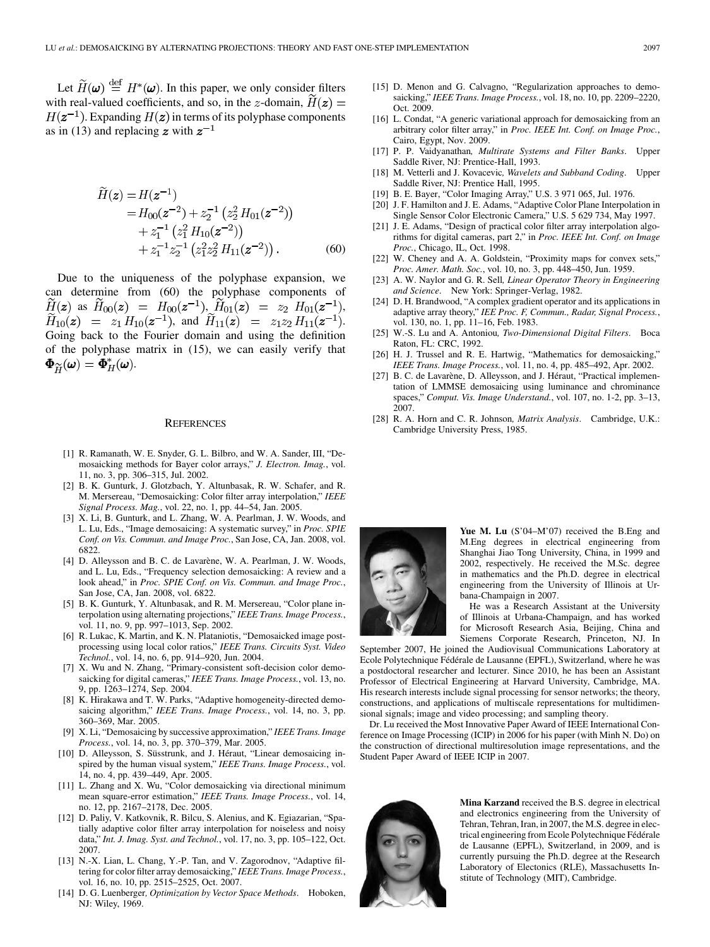Let  $\widetilde{H}(\omega) \stackrel{\text{def}}{=} H^*(\omega)$ . In this paper, we only consider filters with real-valued coefficients, and so, in the z-domain,  $\widetilde{H}(z)$  =  $H(z^{-1})$ . Expanding  $H(z)$  in terms of its polyphase components as in (13) and replacing z with  $z^{-1}$ 

$$
\tilde{H}(z) = H(z^{-1})
$$
\n
$$
= H_{00}(z^{-2}) + z_2^{-1} (z_2^2 H_{01}(z^{-2}))
$$
\n
$$
+ z_1^{-1} (z_1^2 H_{10}(z^{-2}))
$$
\n
$$
+ z_1^{-1} z_2^{-1} (z_1^2 z_2^2 H_{11}(z^{-2})).
$$
\n(60)

Due to the uniqueness of the polyphase expansion, we can determine from (60) the polyphase components of  $H(z)$  as  $H_{00}(z) = H_{00}(z^{-1}), H_{01}(z) = z_2 H_{01}(z^{-1}),$  $\widetilde{H}_{10}(z) = z_1 H_{10}(z^{-1}),$  and  $\widetilde{H}_{11}(z) = z_1 z_2 H_{11}(z^{-1}).$ Going back to the Fourier domain and using the definition of the polyphase matrix in (15), we can easily verify that  $\Phi_{\widetilde{H}}(\omega) = \Phi_H^*(\omega).$ 

#### **REFERENCES**

- [1] R. Ramanath, W. E. Snyder, G. L. Bilbro, and W. A. Sander, III, "Demosaicking methods for Bayer color arrays," *J. Electron. Imag.*, vol. 11, no. 3, pp. 306–315, Jul. 2002.
- [2] B. K. Gunturk, J. Glotzbach, Y. Altunbasak, R. W. Schafer, and R. M. Mersereau, "Demosaicking: Color filter array interpolation," *IEEE Signal Process. Mag.*, vol. 22, no. 1, pp. 44–54, Jan. 2005.
- [3] X. Li, B. Gunturk, and L. Zhang, W. A. Pearlman, J. W. Woods, and L. Lu, Eds., "Image demosaicing: A systematic survey," in *Proc. SPIE Conf. on Vis. Commun. and Image Proc.*, San Jose, CA, Jan. 2008, vol. 6822.
- [4] D. Alleysson and B. C. de Lavarène, W. A. Pearlman, J. W. Woods, and L. Lu, Eds., "Frequency selection demosaicking: A review and a look ahead," in *Proc. SPIE Conf. on Vis. Commun. and Image Proc.*, San Jose, CA, Jan. 2008, vol. 6822.
- [5] B. K. Gunturk, Y. Altunbasak, and R. M. Mersereau, "Color plane interpolation using alternating projections," *IEEE Trans. Image Process.*, vol. 11, no. 9, pp. 997–1013, Sep. 2002.
- [6] R. Lukac, K. Martin, and K. N. Plataniotis, "Demosaicked image postprocessing using local color ratios," *IEEE Trans. Circuits Syst. Video Technol.*, vol. 14, no. 6, pp. 914–920, Jun. 2004.
- [7] X. Wu and N. Zhang, "Primary-consistent soft-decision color demosaicking for digital cameras," *IEEE Trans. Image Process.*, vol. 13, no. 9, pp. 1263–1274, Sep. 2004.
- [8] K. Hirakawa and T. W. Parks, "Adaptive homogeneity-directed demosaicing algorithm," *IEEE Trans. Image Process.*, vol. 14, no. 3, pp. 360–369, Mar. 2005.
- [9] X. Li, "Demosaicing by successive approximation," *IEEE Trans. Image Process.*, vol. 14, no. 3, pp. 370–379, Mar. 2005.
- [10] D. Alleysson, S. Süsstrunk, and J. Héraut, "Linear demosaicing inspired by the human visual system," *IEEE Trans. Image Process.*, vol. 14, no. 4, pp. 439–449, Apr. 2005.
- [11] L. Zhang and X. Wu, "Color demosaicking via directional minimum mean square-error estimation," *IEEE Trans. Image Process.*, vol. 14, no. 12, pp. 2167–2178, Dec. 2005.
- [12] D. Paliy, V. Katkovnik, R. Bilcu, S. Alenius, and K. Egiazarian, "Spatially adaptive color filter array interpolation for noiseless and noisy data," *Int. J. Imag. Syst. and Technol.*, vol. 17, no. 3, pp. 105–122, Oct. 2007.
- [13] N.-X. Lian, L. Chang, Y.-P. Tan, and V. Zagorodnov, "Adaptive filtering for color filter array demosaicking," *IEEE Trans. Image Process.*, vol. 16, no. 10, pp. 2515–2525, Oct. 2007.
- [14] D. G. Luenberger*, Optimization by Vector Space Methods*. Hoboken, NJ: Wiley, 1969.
- [15] D. Menon and G. Calvagno, "Regularization approaches to demosaicking," *IEEE Trans. Image Process.*, vol. 18, no. 10, pp. 2209–2220, Oct. 2009.
- [16] L. Condat, "A generic variational approach for demosaicking from an arbitrary color filter array," in *Proc. IEEE Int. Conf. on Image Proc.*, Cairo, Egypt, Nov. 2009.
- [17] P. P. Vaidyanathan*, Multirate Systems and Filter Banks*. Upper Saddle River, NJ: Prentice-Hall, 1993.
- [18] M. Vetterli and J. Kovacevic*, Wavelets and Subband Coding*. Upper Saddle River, NJ: Prentice Hall, 1995.
- [19] B. E. Bayer, "Color Imaging Array," U.S. 3 971 065, Jul. 1976.
- [20] J. F. Hamilton and J. E. Adams, "Adaptive Color Plane Interpolation in Single Sensor Color Electronic Camera," U.S. 5 629 734, May 1997.
- [21] J. E. Adams, "Design of practical color filter array interpolation algorithms for digital cameras, part 2," in *Proc. IEEE Int. Conf. on Image Proc.*, Chicago, IL, Oct. 1998.
- [22] W. Cheney and A. A. Goldstein, "Proximity maps for convex sets," *Proc. Amer. Math. Soc.*, vol. 10, no. 3, pp. 448–450, Jun. 1959.
- [23] A. W. Naylor and G. R. Sell*, Linear Operator Theory in Engineering and Science*. New York: Springer-Verlag, 1982.
- [24] D. H. Brandwood, "A complex gradient operator and its applications in adaptive array theory," *IEE Proc. F, Commun., Radar, Signal Process.*, vol. 130, no. 1, pp. 11–16, Feb. 1983.
- [25] W.-S. Lu and A. Antoniou*, Two-Dimensional Digital Filters*. Boca Raton, FL: CRC, 1992.
- [26] H. J. Trussel and R. E. Hartwig, "Mathematics for demosaicking," *IEEE Trans. Image Process.*, vol. 11, no. 4, pp. 485–492, Apr. 2002.
- [27] B. C. de Lavarène, D. Alleysson, and J. Héraut, "Practical implementation of LMMSE demosaicing using luminance and chrominance spaces," *Comput. Vis. Image Understand.*, vol. 107, no. 1-2, pp. 3–13, 2007.
- [28] R. A. Horn and C. R. Johnson*, Matrix Analysis*. Cambridge, U.K.: Cambridge University Press, 1985.



Yue M. Lu (S'04–M'07) received the B.Eng and M.Eng degrees in electrical engineering from Shanghai Jiao Tong University, China, in 1999 and 2002, respectively. He received the M.Sc. degree in mathematics and the Ph.D. degree in electrical engineering from the University of Illinois at Urbana-Champaign in 2007.

He was a Research Assistant at the University of Illinois at Urbana-Champaign, and has worked for Microsoft Research Asia, Beijing, China and Siemens Corporate Research, Princeton, NJ. In

September 2007, He joined the Audiovisual Communications Laboratory at Ecole Polytechnique Fédérale de Lausanne (EPFL), Switzerland, where he was a postdoctoral researcher and lecturer. Since 2010, he has been an Assistant Professor of Electrical Engineering at Harvard University, Cambridge, MA. His research interests include signal processing for sensor networks; the theory, constructions, and applications of multiscale representations for multidimensional signals; image and video processing; and sampling theory.

Dr. Lu received the Most Innovative Paper Award of IEEE International Conference on Image Processing (ICIP) in 2006 for his paper (with Minh N. Do) on the construction of directional multiresolution image representations, and the Student Paper Award of IEEE ICIP in 2007.



**Mina Karzand** received the B.S. degree in electrical and electronics engineering from the University of Tehran, Tehran, Iran, in 2007, the M.S. degree in electrical engineering from Ecole Polytechnique Fédérale de Lausanne (EPFL), Switzerland, in 2009, and is currently pursuing the Ph.D. degree at the Research Laboratory of Electonics (RLE), Massachusetts Institute of Technology (MIT), Cambridge.